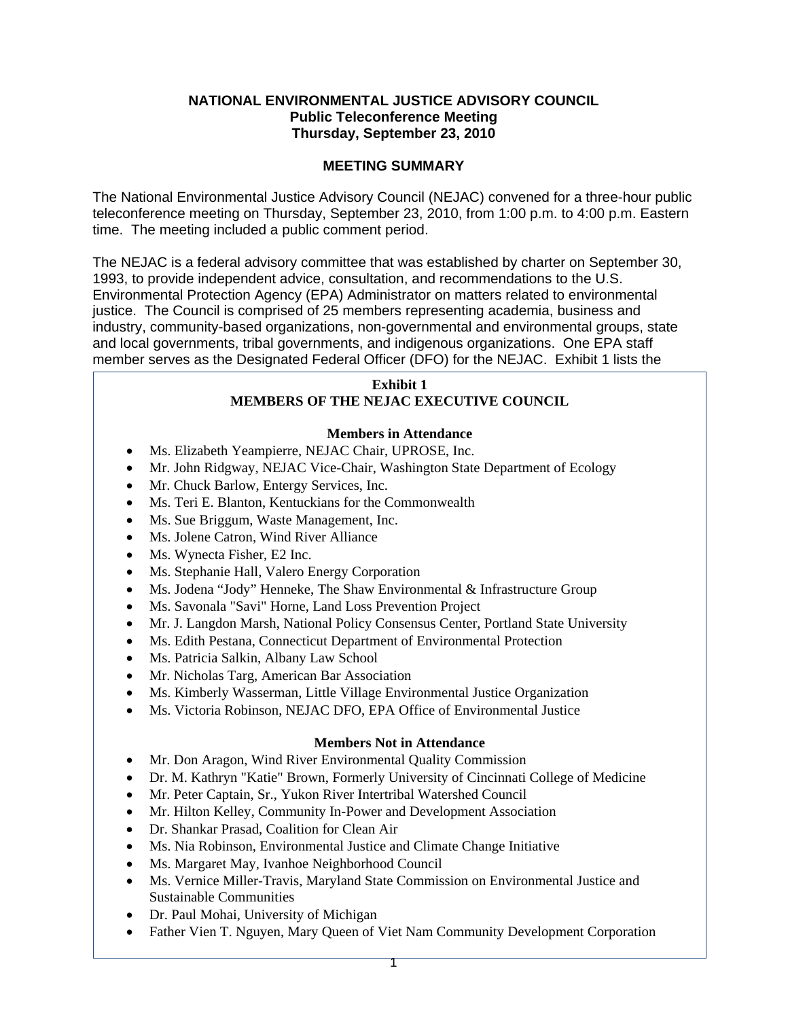## **NATIONAL ENVIRONMENTAL JUSTICE ADVISORY COUNCIL Public Teleconference Meeting Thursday, September 23, 2010**

# **MEETING SUMMARY**

The National Environmental Justice Advisory Council (NEJAC) convened for a three-hour public teleconference meeting on Thursday, September 23, 2010, from 1:00 p.m. to 4:00 p.m. Eastern time. The meeting included a public comment period.

The NEJAC is a federal advisory committee that was established by charter on September 30, 1993, to provide independent advice, consultation, and recommendations to the U.S. Environmental Protection Agency (EPA) Administrator on matters related to environmental justice. The Council is comprised of 25 members representing academia, business and industry, community-based organizations, non-governmental and environmental groups, state and local governments, tribal governments, and indigenous organizations. One EPA staff member serves as the Designated Federal Officer (DFO) for the NEJAC. Exhibit 1 lists the

## **Exhibit 1 MEMBERS OF THE NEJAC EXECUTIVE COUNCIL**

## **Members in Attendance**

- Ms. Elizabeth Yeampierre, NEJAC Chair, UPROSE, Inc.
- Mr. John Ridgway, NEJAC Vice-Chair, Washington State Department of Ecology
- Mr. Chuck Barlow, Entergy Services, Inc.
- Ms. Teri E. Blanton, Kentuckians for the Commonwealth
- Ms. Sue Briggum, Waste Management, Inc.
- Ms. Jolene Catron, Wind River Alliance
- Ms. Wynecta Fisher, E2 Inc.
- Ms. Stephanie Hall, Valero Energy Corporation
- Ms. Jodena "Jody" Henneke, The Shaw Environmental & Infrastructure Group
- Ms. Savonala "Savi" Horne, Land Loss Prevention Project
- Mr. J. Langdon Marsh, National Policy Consensus Center, Portland State University
- Ms. Edith Pestana, Connecticut Department of Environmental Protection
- Ms. Patricia Salkin, Albany Law School
- Mr. Nicholas Targ, American Bar Association
- Ms. Kimberly Wasserman, Little Village Environmental Justice Organization
- Ms. Victoria Robinson, NEJAC DFO, EPA Office of Environmental Justice

## **Members Not in Attendance**

- Mr. Don Aragon, Wind River Environmental Quality Commission
- Dr. M. Kathryn "Katie" Brown, Formerly University of Cincinnati College of Medicine
- Mr. Peter Captain, Sr., Yukon River Intertribal Watershed Council
- Mr. Hilton Kelley, Community In-Power and Development Association
- Dr. Shankar Prasad, Coalition for Clean Air
- Ms. Nia Robinson, Environmental Justice and Climate Change Initiative
- Ms. Margaret May, Ivanhoe Neighborhood Council
- Ms. Vernice Miller-Travis, Maryland State Commission on Environmental Justice and Sustainable Communities
- Dr. Paul Mohai, University of Michigan
- Father Vien T. Nguyen, Mary Queen of Viet Nam Community Development Corporation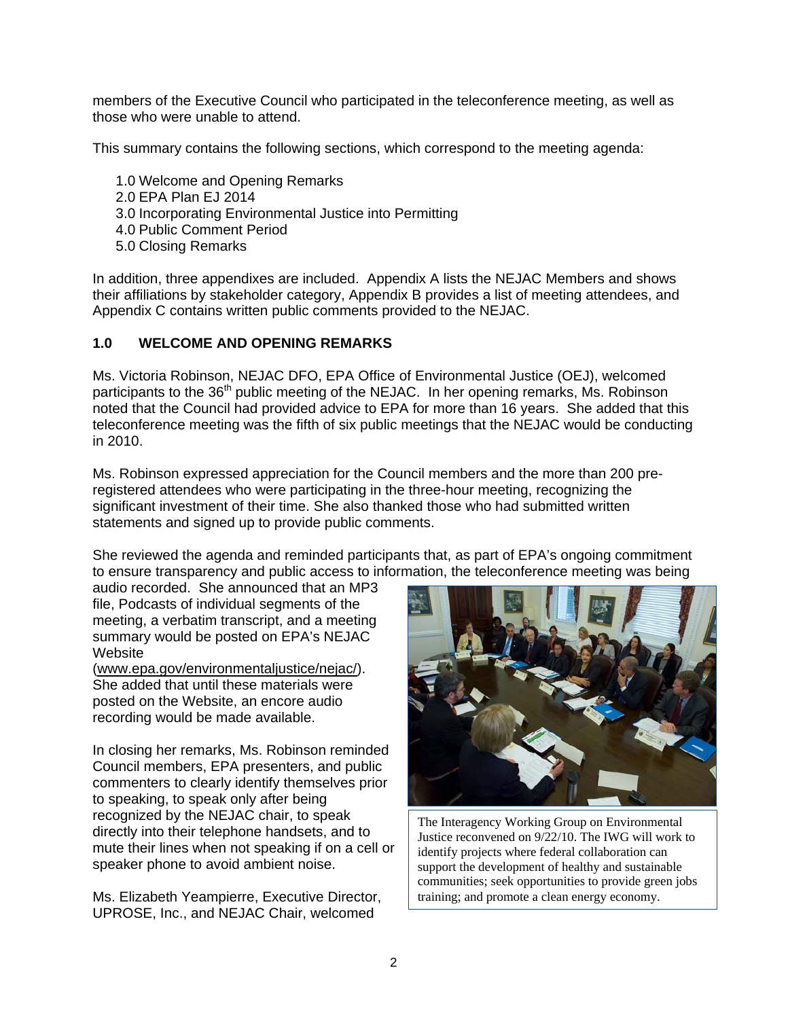members of the Executive Council who participated in the teleconference meeting, as well as those who were unable to attend.

This summary contains the following sections, which correspond to the meeting agenda:

- 1.0 Welcome and Opening Remarks
- 2.0 EPA Plan EJ 2014
- 3.0 Incorporating Environmental Justice into Permitting
- 4.0 Public Comment Period
- 5.0 Closing Remarks

In addition, three appendixes are included. Appendix A lists the NEJAC Members and shows their affiliations by stakeholder category, Appendix B provides a list of meeting attendees, and Appendix C contains written public comments provided to the NEJAC.

## **1.0 WELCOME AND OPENING REMARKS**

Ms. Victoria Robinson, NEJAC DFO, EPA Office of Environmental Justice (OEJ), welcomed participants to the 36<sup>th</sup> public meeting of the NEJAC. In her opening remarks, Ms. Robinson noted that the Council had provided advice to EPA for more than 16 years. She added that this teleconference meeting was the fifth of six public meetings that the NEJAC would be conducting in 2010.

Ms. Robinson expressed appreciation for the Council members and the more than 200 preregistered attendees who were participating in the three-hour meeting, recognizing the significant investment of their time. She also thanked those who had submitted written statements and signed up to provide public comments.

She reviewed the agenda and reminded participants that, as part of EPA's ongoing commitment to ensure transparency and public access to information, the teleconference meeting was being

audio recorded. She announced that an MP3 file, Podcasts of individual segments of the meeting, a verbatim transcript, and a meeting summary would be posted on EPA's NEJAC Website

(www.epa.gov/environmentaljustice/nejac/). She added that until these materials were posted on the Website, an encore audio recording would be made available.

In closing her remarks, Ms. Robinson reminded Council members, EPA presenters, and public commenters to clearly identify themselves prior to speaking, to speak only after being recognized by the NEJAC chair, to speak directly into their telephone handsets, and to mute their lines when not speaking if on a cell or speaker phone to avoid ambient noise.

Ms. Elizabeth Yeampierre, Executive Director, UPROSE, Inc., and NEJAC Chair, welcomed



 identify projects where federal collaboration can The Interagency Working Group on Environmental Justice reconvened on 9/22/10. The IWG will work to support the development of healthy and sustainable communities; seek opportunities to provide green jobs training; and promote a clean energy economy.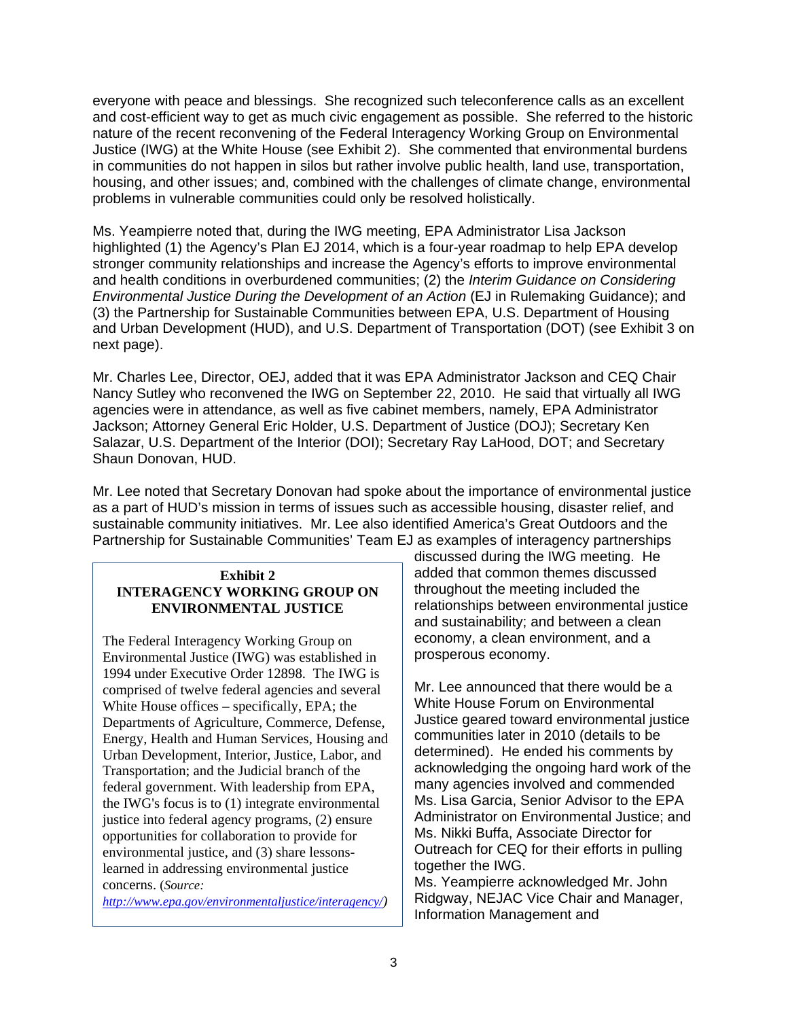everyone with peace and blessings. She recognized such teleconference calls as an excellent and cost-efficient way to get as much civic engagement as possible. She referred to the historic nature of the recent reconvening of the Federal Interagency Working Group on Environmental Justice (IWG) at the White House (see Exhibit 2). She commented that environmental burdens in communities do not happen in silos but rather involve public health, land use, transportation, housing, and other issues; and, combined with the challenges of climate change, environmental problems in vulnerable communities could only be resolved holistically.

Ms. Yeampierre noted that, during the IWG meeting, EPA Administrator Lisa Jackson highlighted (1) the Agency's Plan EJ 2014, which is a four-year roadmap to help EPA develop stronger community relationships and increase the Agency's efforts to improve environmental and health conditions in overburdened communities; (2) the *Interim Guidance on Considering Environmental Justice During the Development of an Action* (EJ in Rulemaking Guidance); and (3) the Partnership for Sustainable Communities between EPA, U.S. Department of Housing and Urban Development (HUD), and U.S. Department of Transportation (DOT) (see Exhibit 3 on next page).

Mr. Charles Lee, Director, OEJ, added that it was EPA Administrator Jackson and CEQ Chair Nancy Sutley who reconvened the IWG on September 22, 2010. He said that virtually all IWG agencies were in attendance, as well as five cabinet members, namely, EPA Administrator Jackson; Attorney General Eric Holder, U.S. Department of Justice (DOJ); Secretary Ken Salazar, U.S. Department of the Interior (DOI); Secretary Ray LaHood, DOT; and Secretary Shaun Donovan, HUD.

Mr. Lee noted that Secretary Donovan had spoke about the importance of environmental justice as a part of HUD's mission in terms of issues such as accessible housing, disaster relief, and sustainable community initiatives. Mr. Lee also identified America's Great Outdoors and the Partnership for Sustainable Communities' Team EJ as examples of interagency partnerships

## **Exhibit 2 INTERAGENCY WORKING GROUP ON ENVIRONMENTAL JUSTICE**

The Federal Interagency Working Group on Environmental Justice (IWG) was established in 1994 under Executive Order 12898. The IWG is comprised of twelve federal agencies and several White House offices – specifically, EPA; the Departments of Agriculture, Commerce, Defense, Energy, Health and Human Services, Housing and Urban Development, Interior, Justice, Labor, and Transportation; and the Judicial branch of the federal government. With leadership from EPA, the IWG's focus is to (1) integrate environmental justice into federal agency programs, (2) ensure opportunities for collaboration to provide for environmental justice, and (3) share lessonslearned in addressing environmental justice concerns. (*Source:* 

*http://www.epa.gov/environmentaljustice/interagency/)* 

discussed during the IWG meeting. He added that common themes discussed throughout the meeting included the relationships between environmental justice and sustainability; and between a clean economy, a clean environment, and a prosperous economy.

Mr. Lee announced that there would be a White House Forum on Environmental Justice geared toward environmental justice communities later in 2010 (details to be determined). He ended his comments by acknowledging the ongoing hard work of the many agencies involved and commended Ms. Lisa Garcia, Senior Advisor to the EPA Administrator on Environmental Justice; and Ms. Nikki Buffa, Associate Director for Outreach for CEQ for their efforts in pulling together the IWG.

Ms. Yeampierre acknowledged Mr. John Ridgway, NEJAC Vice Chair and Manager, Information Management and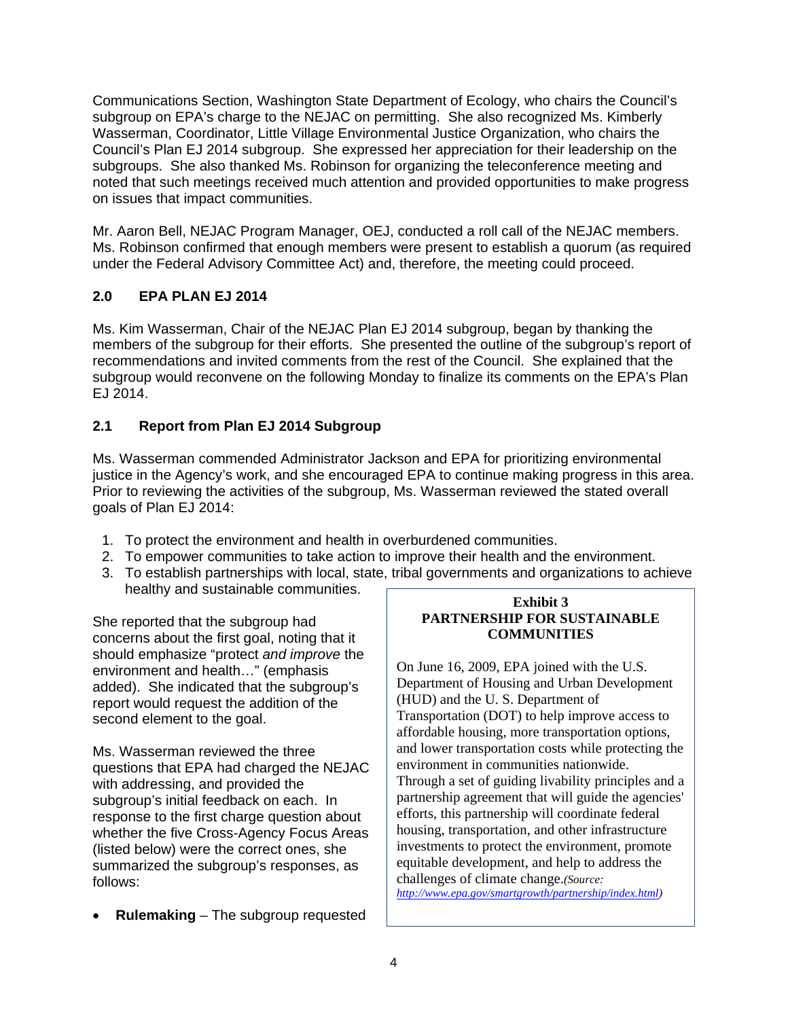Communications Section, Washington State Department of Ecology, who chairs the Council's subgroup on EPA's charge to the NEJAC on permitting. She also recognized Ms. Kimberly Wasserman, Coordinator, Little Village Environmental Justice Organization, who chairs the Council's Plan EJ 2014 subgroup. She expressed her appreciation for their leadership on the subgroups. She also thanked Ms. Robinson for organizing the teleconference meeting and noted that such meetings received much attention and provided opportunities to make progress on issues that impact communities.

Mr. Aaron Bell, NEJAC Program Manager, OEJ, conducted a roll call of the NEJAC members. Ms. Robinson confirmed that enough members were present to establish a quorum (as required under the Federal Advisory Committee Act) and, therefore, the meeting could proceed.

# **2.0 EPA PLAN EJ 2014**

Ms. Kim Wasserman, Chair of the NEJAC Plan EJ 2014 subgroup, began by thanking the members of the subgroup for their efforts. She presented the outline of the subgroup's report of recommendations and invited comments from the rest of the Council. She explained that the subgroup would reconvene on the following Monday to finalize its comments on the EPA's Plan EJ 2014.

# **2.1 Report from Plan EJ 2014 Subgroup**

Ms. Wasserman commended Administrator Jackson and EPA for prioritizing environmental justice in the Agency's work, and she encouraged EPA to continue making progress in this area. Prior to reviewing the activities of the subgroup, Ms. Wasserman reviewed the stated overall goals of Plan EJ 2014:

- 1. To protect the environment and health in overburdened communities.
- 2. To empower communities to take action to improve their health and the environment.
- 3. To establish partnerships with local, state, tribal governments and organizations to achieve healthy and sustainable communities.

She reported that the subgroup had concerns about the first goal, noting that it should emphasize "protect *and improve* the environment and health…" (emphasis added). She indicated that the subgroup's report would request the addition of the second element to the goal.

Ms. Wasserman reviewed the three questions that EPA had charged the NEJAC with addressing, and provided the subgroup's initial feedback on each. In response to the first charge question about whether the five Cross-Agency Focus Areas (listed below) were the correct ones, she summarized the subgroup's responses, as follows:

**Rulemaking** – The subgroup requested

## **Exhibit 3 PARTNERSHIP FOR SUSTAINABLE COMMUNITIES**

On June 16, 2009, EPA joined with the U.S. Department of Housing and Urban Development (HUD) and the U. S. Department of Transportation (DOT) to help improve access to affordable housing, more transportation options, and lower transportation costs while protecting the environment in communities nationwide. Through a set of guiding livability principles and a partnership agreement that will guide the agencies' efforts, this partnership will coordinate federal housing, transportation, and other infrastructure investments to protect the environment, promote equitable development, and help to address the challenges of climate change.*(Source:* 

*http://www.epa.gov/smartgrowth/partnership/index.html)*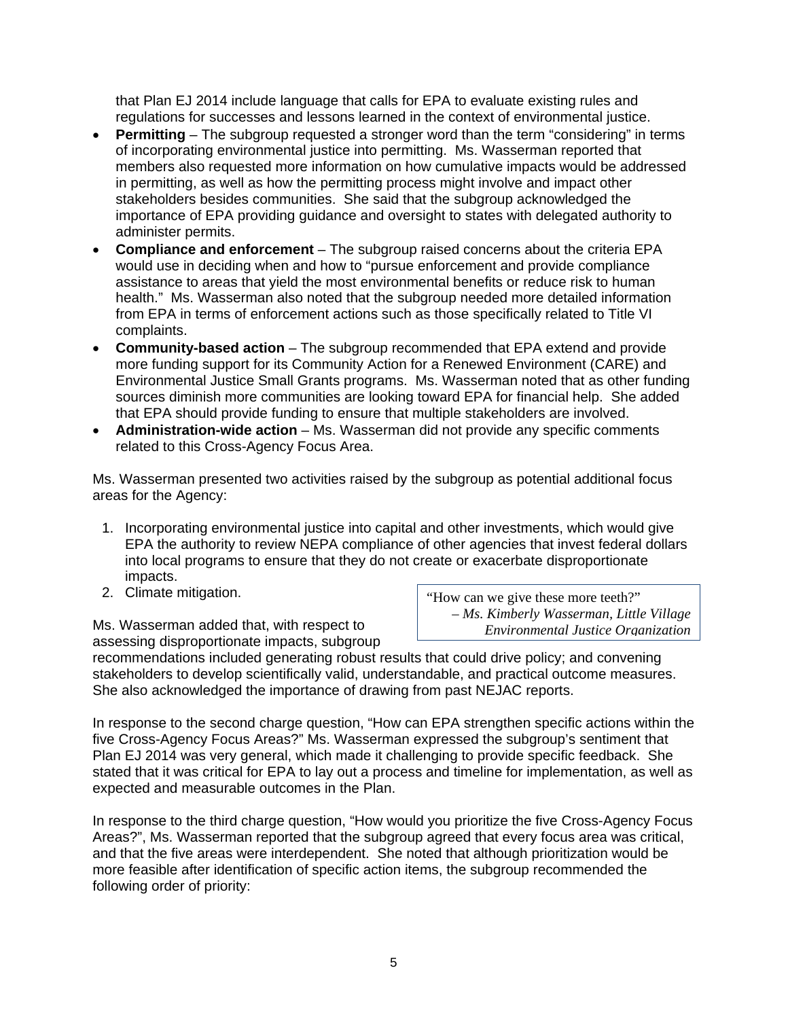that Plan EJ 2014 include language that calls for EPA to evaluate existing rules and regulations for successes and lessons learned in the context of environmental justice.

- **Permitting** The subgroup requested a stronger word than the term "considering" in terms of incorporating environmental justice into permitting. Ms. Wasserman reported that members also requested more information on how cumulative impacts would be addressed in permitting, as well as how the permitting process might involve and impact other stakeholders besides communities. She said that the subgroup acknowledged the importance of EPA providing guidance and oversight to states with delegated authority to administer permits.
- **Compliance and enforcement** The subgroup raised concerns about the criteria EPA would use in deciding when and how to "pursue enforcement and provide compliance assistance to areas that yield the most environmental benefits or reduce risk to human health." Ms. Wasserman also noted that the subgroup needed more detailed information from EPA in terms of enforcement actions such as those specifically related to Title VI complaints.
- **Community-based action** The subgroup recommended that EPA extend and provide more funding support for its Community Action for a Renewed Environment (CARE) and Environmental Justice Small Grants programs. Ms. Wasserman noted that as other funding sources diminish more communities are looking toward EPA for financial help. She added that EPA should provide funding to ensure that multiple stakeholders are involved.
- **Administration-wide action** Ms. Wasserman did not provide any specific comments related to this Cross-Agency Focus Area.

Ms. Wasserman presented two activities raised by the subgroup as potential additional focus areas for the Agency:

- 1. Incorporating environmental justice into capital and other investments, which would give EPA the authority to review NEPA compliance of other agencies that invest federal dollars into local programs to ensure that they do not create or exacerbate disproportionate impacts.
- 

assessing disproportionate impacts, subgroup

2. Climate mitigation. The same state of the "How can we give these more teeth?" *– Ms. Kimberly Wasserman, Little Village* Ms. Wasserman added that, with respect to *Environmental Justice Organization* 

recommendations included generating robust results that could drive policy; and convening stakeholders to develop scientifically valid, understandable, and practical outcome measures. She also acknowledged the importance of drawing from past NEJAC reports.

In response to the second charge question, "How can EPA strengthen specific actions within the five Cross-Agency Focus Areas?" Ms. Wasserman expressed the subgroup's sentiment that Plan EJ 2014 was very general, which made it challenging to provide specific feedback. She stated that it was critical for EPA to lay out a process and timeline for implementation, as well as expected and measurable outcomes in the Plan.

In response to the third charge question, "How would you prioritize the five Cross-Agency Focus Areas?", Ms. Wasserman reported that the subgroup agreed that every focus area was critical, and that the five areas were interdependent. She noted that although prioritization would be more feasible after identification of specific action items, the subgroup recommended the following order of priority: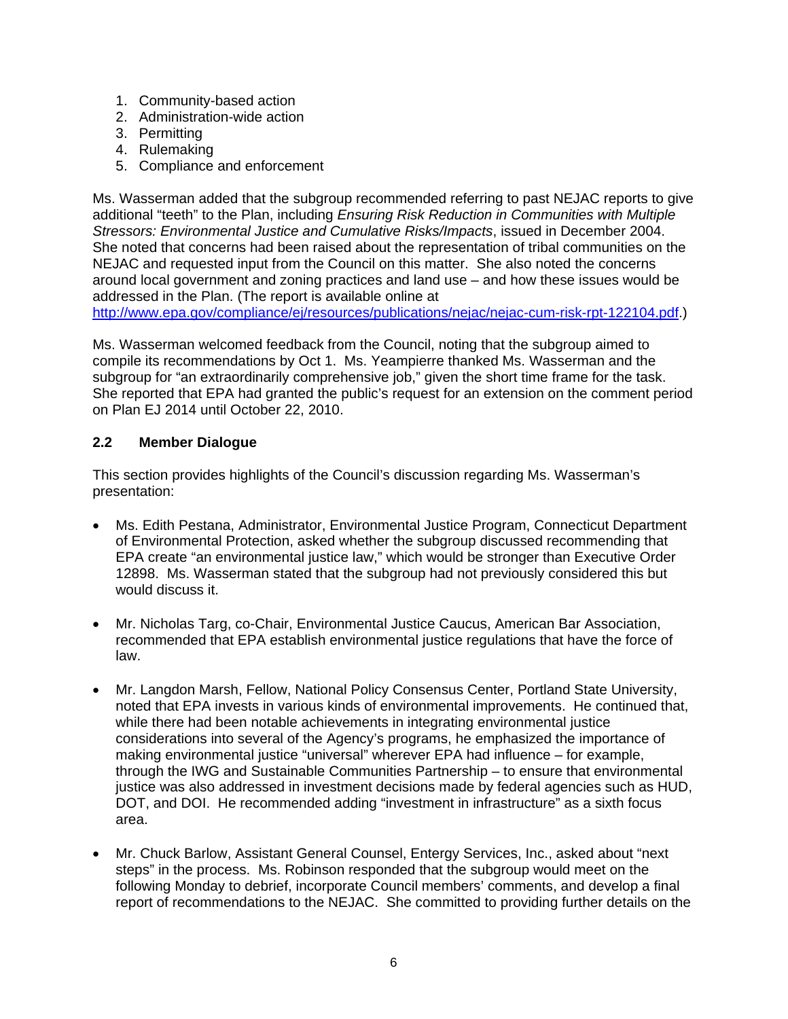- 1. Community-based action
- 2. Administration-wide action
- 3. Permitting
- 4. Rulemaking
- 5. Compliance and enforcement

Ms. Wasserman added that the subgroup recommended referring to past NEJAC reports to give additional "teeth" to the Plan, including *Ensuring Risk Reduction in Communities with Multiple Stressors: Environmental Justice and Cumulative Risks/Impacts*, issued in December 2004. She noted that concerns had been raised about the representation of tribal communities on the NEJAC and requested input from the Council on this matter. She also noted the concerns around local government and zoning practices and land use – and how these issues would be addressed in the Plan. (The report is available online at

http://www.epa.gov/compliance/ej/resources/publications/nejac/nejac-cum-risk-rpt-122104.pdf.)

Ms. Wasserman welcomed feedback from the Council, noting that the subgroup aimed to compile its recommendations by Oct 1. Ms. Yeampierre thanked Ms. Wasserman and the subgroup for "an extraordinarily comprehensive job," given the short time frame for the task. She reported that EPA had granted the public's request for an extension on the comment period on Plan EJ 2014 until October 22, 2010.

# **2.2 Member Dialogue**

This section provides highlights of the Council's discussion regarding Ms. Wasserman's presentation:

- Ms. Edith Pestana, Administrator, Environmental Justice Program, Connecticut Department of Environmental Protection, asked whether the subgroup discussed recommending that EPA create "an environmental justice law," which would be stronger than Executive Order 12898. Ms. Wasserman stated that the subgroup had not previously considered this but would discuss it.
- Mr. Nicholas Targ, co-Chair, Environmental Justice Caucus, American Bar Association, recommended that EPA establish environmental justice regulations that have the force of law.
- Mr. Langdon Marsh, Fellow, National Policy Consensus Center, Portland State University, noted that EPA invests in various kinds of environmental improvements. He continued that, while there had been notable achievements in integrating environmental justice considerations into several of the Agency's programs, he emphasized the importance of making environmental justice "universal" wherever EPA had influence – for example, through the IWG and Sustainable Communities Partnership – to ensure that environmental justice was also addressed in investment decisions made by federal agencies such as HUD, DOT, and DOI. He recommended adding "investment in infrastructure" as a sixth focus area.
- Mr. Chuck Barlow, Assistant General Counsel, Entergy Services, Inc., asked about "next steps" in the process. Ms. Robinson responded that the subgroup would meet on the following Monday to debrief, incorporate Council members' comments, and develop a final report of recommendations to the NEJAC. She committed to providing further details on the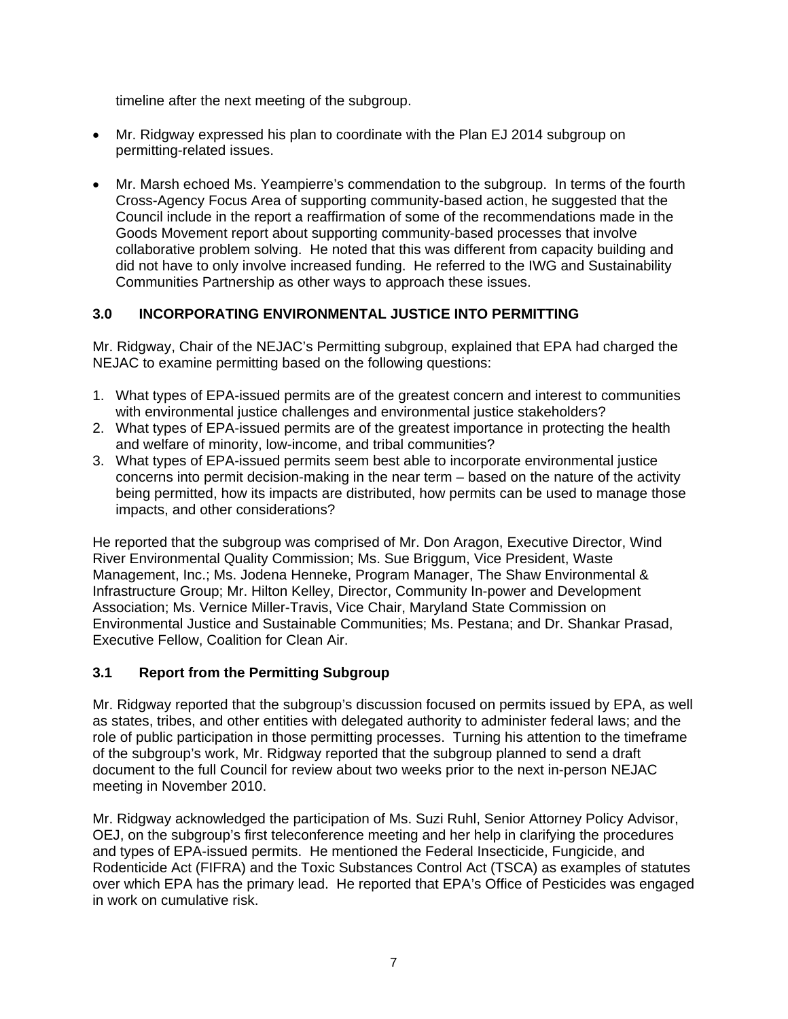timeline after the next meeting of the subgroup.

- Mr. Ridgway expressed his plan to coordinate with the Plan EJ 2014 subgroup on permitting-related issues.
- Mr. Marsh echoed Ms. Yeampierre's commendation to the subgroup. In terms of the fourth Cross-Agency Focus Area of supporting community-based action, he suggested that the Council include in the report a reaffirmation of some of the recommendations made in the Goods Movement report about supporting community-based processes that involve collaborative problem solving. He noted that this was different from capacity building and did not have to only involve increased funding. He referred to the IWG and Sustainability Communities Partnership as other ways to approach these issues.

# **3.0 INCORPORATING ENVIRONMENTAL JUSTICE INTO PERMITTING**

Mr. Ridgway, Chair of the NEJAC's Permitting subgroup, explained that EPA had charged the NEJAC to examine permitting based on the following questions:

- 1. What types of EPA-issued permits are of the greatest concern and interest to communities with environmental justice challenges and environmental justice stakeholders?
- 2. What types of EPA-issued permits are of the greatest importance in protecting the health and welfare of minority, low-income, and tribal communities?
- 3. What types of EPA-issued permits seem best able to incorporate environmental justice concerns into permit decision-making in the near term – based on the nature of the activity being permitted, how its impacts are distributed, how permits can be used to manage those impacts, and other considerations?

He reported that the subgroup was comprised of Mr. Don Aragon, Executive Director, Wind River Environmental Quality Commission; Ms. Sue Briggum, Vice President, Waste Management, Inc.; Ms. Jodena Henneke, Program Manager, The Shaw Environmental & Infrastructure Group; Mr. Hilton Kelley, Director, Community In-power and Development Association; Ms. Vernice Miller-Travis, Vice Chair, Maryland State Commission on Environmental Justice and Sustainable Communities; Ms. Pestana; and Dr. Shankar Prasad, Executive Fellow, Coalition for Clean Air.

# **3.1 Report from the Permitting Subgroup**

Mr. Ridgway reported that the subgroup's discussion focused on permits issued by EPA, as well as states, tribes, and other entities with delegated authority to administer federal laws; and the role of public participation in those permitting processes. Turning his attention to the timeframe of the subgroup's work, Mr. Ridgway reported that the subgroup planned to send a draft document to the full Council for review about two weeks prior to the next in-person NEJAC meeting in November 2010.

Mr. Ridgway acknowledged the participation of Ms. Suzi Ruhl, Senior Attorney Policy Advisor, OEJ, on the subgroup's first teleconference meeting and her help in clarifying the procedures and types of EPA-issued permits. He mentioned the Federal Insecticide, Fungicide, and Rodenticide Act (FIFRA) and the Toxic Substances Control Act (TSCA) as examples of statutes over which EPA has the primary lead. He reported that EPA's Office of Pesticides was engaged in work on cumulative risk.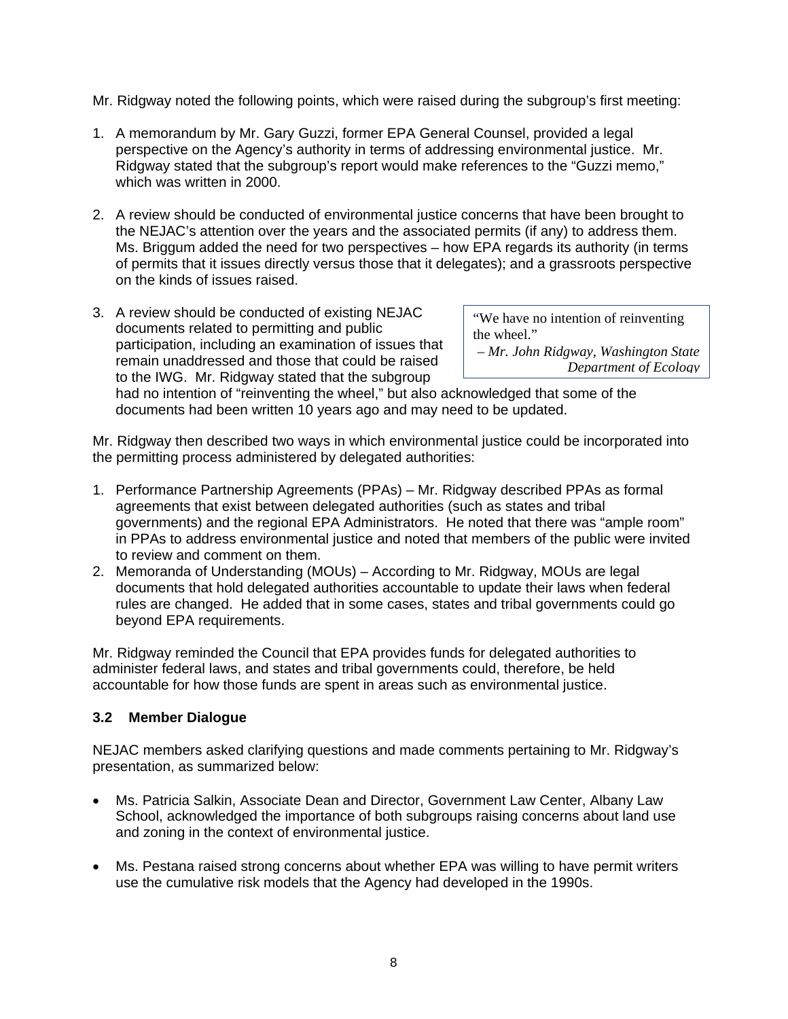Mr. Ridgway noted the following points, which were raised during the subgroup's first meeting:

- 1. A memorandum by Mr. Gary Guzzi, former EPA General Counsel, provided a legal perspective on the Agency's authority in terms of addressing environmental justice. Mr. Ridgway stated that the subgroup's report would make references to the "Guzzi memo," which was written in 2000.
- 2. A review should be conducted of environmental justice concerns that have been brought to the NEJAC's attention over the years and the associated permits (if any) to address them. Ms. Briggum added the need for two perspectives – how EPA regards its authority (in terms of permits that it issues directly versus those that it delegates); and a grassroots perspective on the kinds of issues raised.
- 3. A review should be conducted of existing NEJAC<br>documents related to permitting and public<br>participation, including an examination of issues that<br>remain unaddressed and those that could be raised<br>to the IWG. Mr. Ridgway

had no intention of "reinventing the wheel," but also acknowledged that some of the documents had been written 10 years ago and may need to be updated.

Mr. Ridgway then described two ways in which environmental justice could be incorporated into the permitting process administered by delegated authorities:

- 1. Performance Partnership Agreements (PPAs) Mr. Ridgway described PPAs as formal agreements that exist between delegated authorities (such as states and tribal governments) and the regional EPA Administrators. He noted that there was "ample room" in PPAs to address environmental justice and noted that members of the public were invited to review and comment on them.
- 2. Memoranda of Understanding (MOUs) According to Mr. Ridgway, MOUs are legal documents that hold delegated authorities accountable to update their laws when federal rules are changed. He added that in some cases, states and tribal governments could go beyond EPA requirements.

Mr. Ridgway reminded the Council that EPA provides funds for delegated authorities to administer federal laws, and states and tribal governments could, therefore, be held accountable for how those funds are spent in areas such as environmental justice.

## **3.2 Member Dialogue**

NEJAC members asked clarifying questions and made comments pertaining to Mr. Ridgway's presentation, as summarized below:

- Ms. Patricia Salkin, Associate Dean and Director, Government Law Center, Albany Law School, acknowledged the importance of both subgroups raising concerns about land use and zoning in the context of environmental justice.
- Ms. Pestana raised strong concerns about whether EPA was willing to have permit writers use the cumulative risk models that the Agency had developed in the 1990s.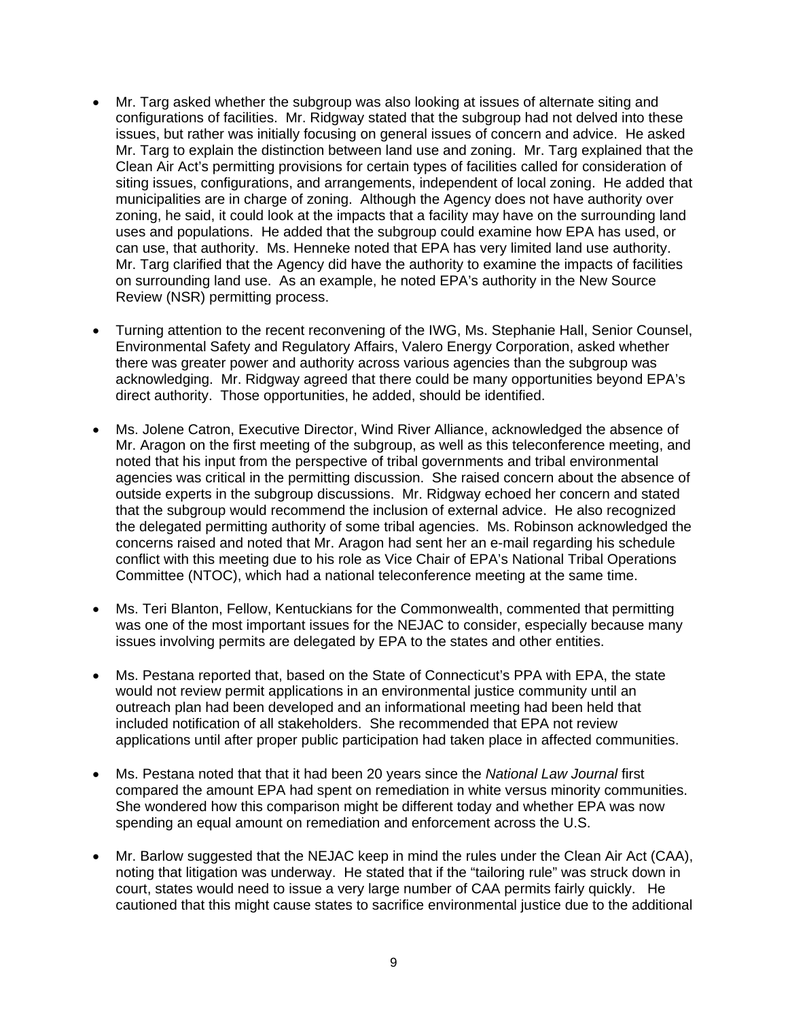- Mr. Targ asked whether the subgroup was also looking at issues of alternate siting and configurations of facilities. Mr. Ridgway stated that the subgroup had not delved into these issues, but rather was initially focusing on general issues of concern and advice. He asked Mr. Targ to explain the distinction between land use and zoning. Mr. Targ explained that the Clean Air Act's permitting provisions for certain types of facilities called for consideration of siting issues, configurations, and arrangements, independent of local zoning. He added that municipalities are in charge of zoning. Although the Agency does not have authority over zoning, he said, it could look at the impacts that a facility may have on the surrounding land uses and populations. He added that the subgroup could examine how EPA has used, or can use, that authority. Ms. Henneke noted that EPA has very limited land use authority. Mr. Targ clarified that the Agency did have the authority to examine the impacts of facilities on surrounding land use. As an example, he noted EPA's authority in the New Source Review (NSR) permitting process.
- Turning attention to the recent reconvening of the IWG, Ms. Stephanie Hall, Senior Counsel, Environmental Safety and Regulatory Affairs, Valero Energy Corporation, asked whether there was greater power and authority across various agencies than the subgroup was acknowledging. Mr. Ridgway agreed that there could be many opportunities beyond EPA's direct authority. Those opportunities, he added, should be identified.
- Ms. Jolene Catron, Executive Director, Wind River Alliance, acknowledged the absence of Mr. Aragon on the first meeting of the subgroup, as well as this teleconference meeting, and noted that his input from the perspective of tribal governments and tribal environmental agencies was critical in the permitting discussion. She raised concern about the absence of outside experts in the subgroup discussions. Mr. Ridgway echoed her concern and stated that the subgroup would recommend the inclusion of external advice. He also recognized the delegated permitting authority of some tribal agencies. Ms. Robinson acknowledged the concerns raised and noted that Mr. Aragon had sent her an e-mail regarding his schedule conflict with this meeting due to his role as Vice Chair of EPA's National Tribal Operations Committee (NTOC), which had a national teleconference meeting at the same time.
- Ms. Teri Blanton, Fellow, Kentuckians for the Commonwealth, commented that permitting was one of the most important issues for the NEJAC to consider, especially because many issues involving permits are delegated by EPA to the states and other entities.
- Ms. Pestana reported that, based on the State of Connecticut's PPA with EPA, the state would not review permit applications in an environmental justice community until an outreach plan had been developed and an informational meeting had been held that included notification of all stakeholders. She recommended that EPA not review applications until after proper public participation had taken place in affected communities.
- Ms. Pestana noted that that it had been 20 years since the *National Law Journal* first compared the amount EPA had spent on remediation in white versus minority communities. She wondered how this comparison might be different today and whether EPA was now spending an equal amount on remediation and enforcement across the U.S.
- Mr. Barlow suggested that the NEJAC keep in mind the rules under the Clean Air Act (CAA), noting that litigation was underway. He stated that if the "tailoring rule" was struck down in court, states would need to issue a very large number of CAA permits fairly quickly. He cautioned that this might cause states to sacrifice environmental justice due to the additional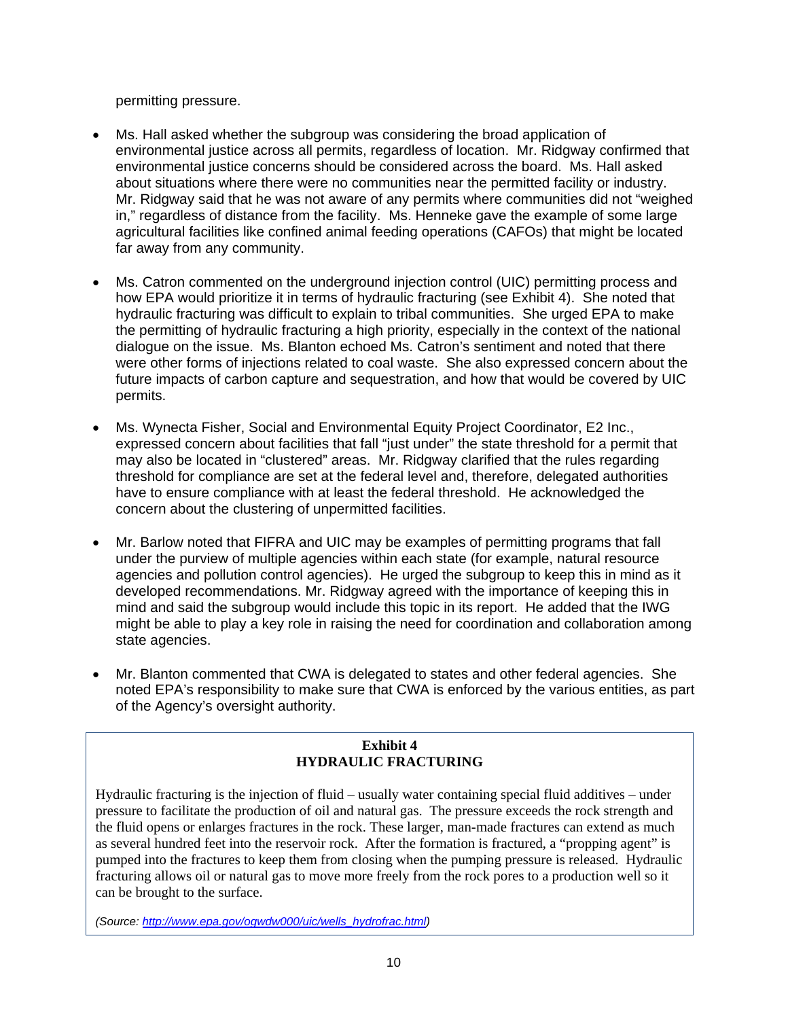permitting pressure.

- Ms. Hall asked whether the subgroup was considering the broad application of environmental justice across all permits, regardless of location. Mr. Ridgway confirmed that environmental justice concerns should be considered across the board. Ms. Hall asked about situations where there were no communities near the permitted facility or industry. Mr. Ridgway said that he was not aware of any permits where communities did not "weighed in," regardless of distance from the facility. Ms. Henneke gave the example of some large agricultural facilities like confined animal feeding operations (CAFOs) that might be located far away from any community.
- Ms. Catron commented on the underground injection control (UIC) permitting process and how EPA would prioritize it in terms of hydraulic fracturing (see Exhibit 4). She noted that hydraulic fracturing was difficult to explain to tribal communities. She urged EPA to make the permitting of hydraulic fracturing a high priority, especially in the context of the national dialogue on the issue. Ms. Blanton echoed Ms. Catron's sentiment and noted that there were other forms of injections related to coal waste. She also expressed concern about the future impacts of carbon capture and sequestration, and how that would be covered by UIC permits.
- Ms. Wynecta Fisher, Social and Environmental Equity Project Coordinator, E2 Inc., expressed concern about facilities that fall "just under" the state threshold for a permit that may also be located in "clustered" areas. Mr. Ridgway clarified that the rules regarding threshold for compliance are set at the federal level and, therefore, delegated authorities have to ensure compliance with at least the federal threshold. He acknowledged the concern about the clustering of unpermitted facilities.
- Mr. Barlow noted that FIFRA and UIC may be examples of permitting programs that fall under the purview of multiple agencies within each state (for example, natural resource agencies and pollution control agencies). He urged the subgroup to keep this in mind as it developed recommendations. Mr. Ridgway agreed with the importance of keeping this in mind and said the subgroup would include this topic in its report. He added that the IWG might be able to play a key role in raising the need for coordination and collaboration among state agencies.
- Mr. Blanton commented that CWA is delegated to states and other federal agencies. She noted EPA's responsibility to make sure that CWA is enforced by the various entities, as part of the Agency's oversight authority.

## **Exhibit 4 HYDRAULIC FRACTURING**

Hydraulic fracturing is the injection of fluid – usually water containing special fluid additives – under pressure to facilitate the production of oil and natural gas. The pressure exceeds the rock strength and the fluid opens or enlarges fractures in the rock. These larger, man-made fractures can extend as much as several hundred feet into the reservoir rock. After the formation is fractured, a "propping agent" is pumped into the fractures to keep them from closing when the pumping pressure is released. Hydraulic fracturing allows oil or natural gas to move more freely from the rock pores to a production well so it can be brought to the surface.

*(Source: http://www.epa.gov/ogwdw000/uic/wells\_hydrofrac.html)*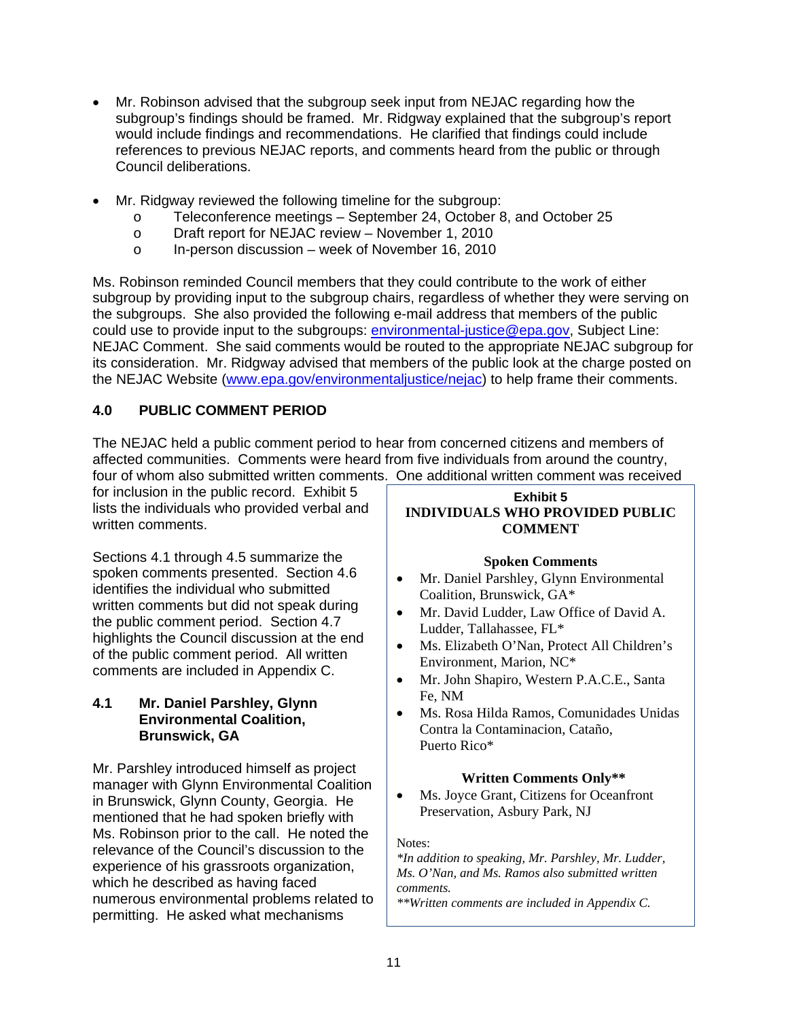- Mr. Robinson advised that the subgroup seek input from NEJAC regarding how the subgroup's findings should be framed. Mr. Ridgway explained that the subgroup's report would include findings and recommendations. He clarified that findings could include references to previous NEJAC reports, and comments heard from the public or through Council deliberations.
- Mr. Ridgway reviewed the following timeline for the subgroup:
	- o Teleconference meetings September 24, October 8, and October 25
	- o Draft report for NEJAC review November 1, 2010
	- o In-person discussion week of November 16, 2010

Ms. Robinson reminded Council members that they could contribute to the work of either subgroup by providing input to the subgroup chairs, regardless of whether they were serving on the subgroups. She also provided the following e-mail address that members of the public could use to provide input to the subgroups: environmental-justice@epa.gov, Subject Line: NEJAC Comment. She said comments would be routed to the appropriate NEJAC subgroup for its consideration. Mr. Ridgway advised that members of the public look at the charge posted on the NEJAC Website (www.epa.gov/environmentaljustice/nejac) to help frame their comments.

# **4.0 PUBLIC COMMENT PERIOD**

The NEJAC held a public comment period to hear from concerned citizens and members of affected communities. Comments were heard from five individuals from around the country, four of whom also submitted written comments. One additional written comment was received

for inclusion in the public record. Exhibit 5 lists the individuals who provided verbal and written comments.

Sections 4.1 through 4.5 summarize the spoken comments presented. Section 4.6 identifies the individual who submitted written comments but did not speak during the public comment period. Section 4.7 highlights the Council discussion at the end of the public comment period. All written comments are included in Appendix C.

## **4.1 Mr. Daniel Parshley, Glynn Environmental Coalition, Brunswick, GA**

Mr. Parshley introduced himself as project manager with Glynn Environmental Coalition in Brunswick, Glynn County, Georgia. He mentioned that he had spoken briefly with Ms. Robinson prior to the call. He noted the relevance of the Council's discussion to the experience of his grassroots organization, which he described as having faced numerous environmental problems related to permitting. He asked what mechanisms

# **Exhibit 5 INDIVIDUALS WHO PROVIDED PUBLIC COMMENT**

# **Spoken Comments**

- Mr. Daniel Parshley, Glynn Environmental Coalition, Brunswick, GA\*
- Mr. David Ludder, Law Office of David A. Ludder, Tallahassee, FL\*
- Ms. Elizabeth O'Nan, Protect All Children's Environment, Marion, NC\*
- Mr. John Shapiro, Western P.A.C.E., Santa Fe, NM
- Ms. Rosa Hilda Ramos, Comunidades Unidas Contra la Contaminacion, Cataño, Puerto Rico\*

# **Written Comments Only\*\***

 Ms. Joyce Grant, Citizens for Oceanfront Preservation, Asbury Park, NJ

Notes:

 *Ms. O'Nan, and Ms. Ramos also submitted written \*In addition to speaking, Mr. Parshley, Mr. Ludder, comments.* 

*\*\*Written comments are included in Appendix C.*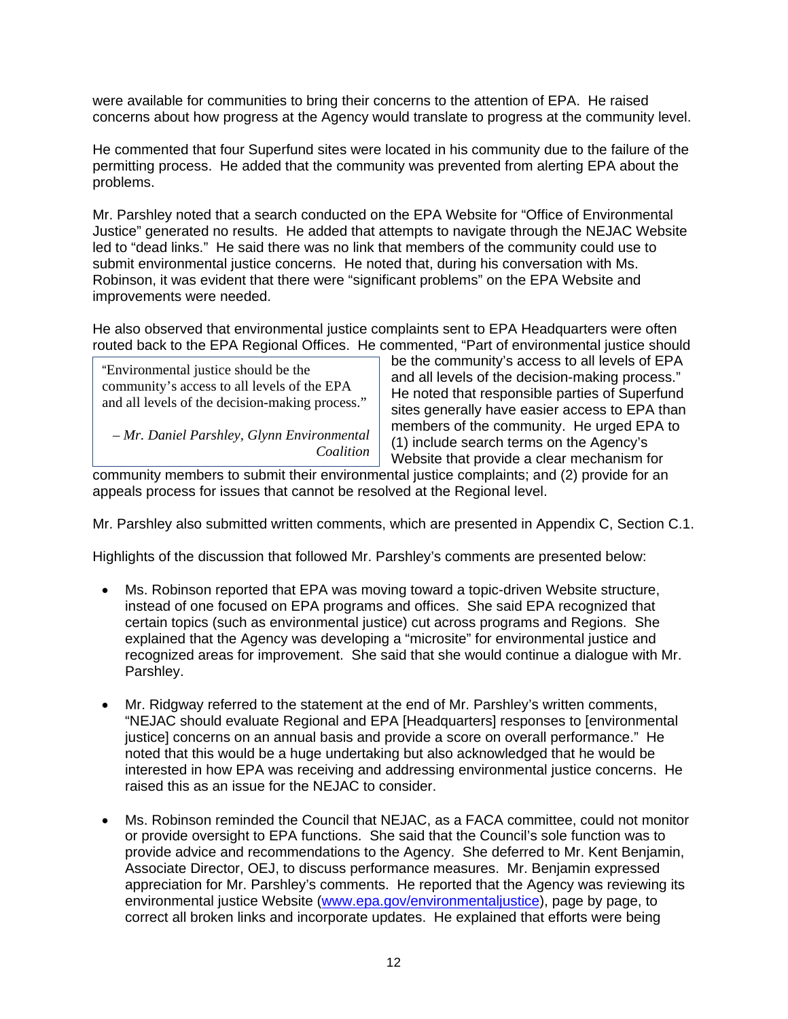were available for communities to bring their concerns to the attention of EPA. He raised concerns about how progress at the Agency would translate to progress at the community level.

He commented that four Superfund sites were located in his community due to the failure of the permitting process. He added that the community was prevented from alerting EPA about the problems.

Mr. Parshley noted that a search conducted on the EPA Website for "Office of Environmental Justice" generated no results. He added that attempts to navigate through the NEJAC Website led to "dead links." He said there was no link that members of the community could use to submit environmental justice concerns. He noted that, during his conversation with Ms. Robinson, it was evident that there were "significant problems" on the EPA Website and improvements were needed.

He also observed that environmental justice complaints sent to EPA Headquarters were often routed back to the EPA Regional Offices. He commented, "Part of environmental justice should

"Environmental justice should be the<br>
community's access to all levels of EPA<br>
and all levels of the decision-making process."<br>
He noted that responsible parties of Superfund<br>
sites generally have easier access to EPA than *– Mr. Daniel Parshley, Glynn Environmental* members of the community. He urged EPA to *Coalition* (1) include search terms on the Agency's *Coalition* **Website that provide a clear mechanism for** 

community members to submit their environmental justice complaints; and (2) provide for an appeals process for issues that cannot be resolved at the Regional level.

Mr. Parshley also submitted written comments, which are presented in Appendix C, Section C.1.

Highlights of the discussion that followed Mr. Parshley's comments are presented below:

- Ms. Robinson reported that EPA was moving toward a topic-driven Website structure, instead of one focused on EPA programs and offices. She said EPA recognized that certain topics (such as environmental justice) cut across programs and Regions. She explained that the Agency was developing a "microsite" for environmental justice and recognized areas for improvement. She said that she would continue a dialogue with Mr. Parshley.
- Mr. Ridgway referred to the statement at the end of Mr. Parshley's written comments, "NEJAC should evaluate Regional and EPA [Headquarters] responses to [environmental justice] concerns on an annual basis and provide a score on overall performance." He noted that this would be a huge undertaking but also acknowledged that he would be interested in how EPA was receiving and addressing environmental justice concerns. He raised this as an issue for the NEJAC to consider.
- Ms. Robinson reminded the Council that NEJAC, as a FACA committee, could not monitor or provide oversight to EPA functions. She said that the Council's sole function was to provide advice and recommendations to the Agency. She deferred to Mr. Kent Benjamin, Associate Director, OEJ, to discuss performance measures. Mr. Benjamin expressed appreciation for Mr. Parshley's comments. He reported that the Agency was reviewing its environmental justice Website (www.epa.gov/environmentaljustice), page by page, to correct all broken links and incorporate updates. He explained that efforts were being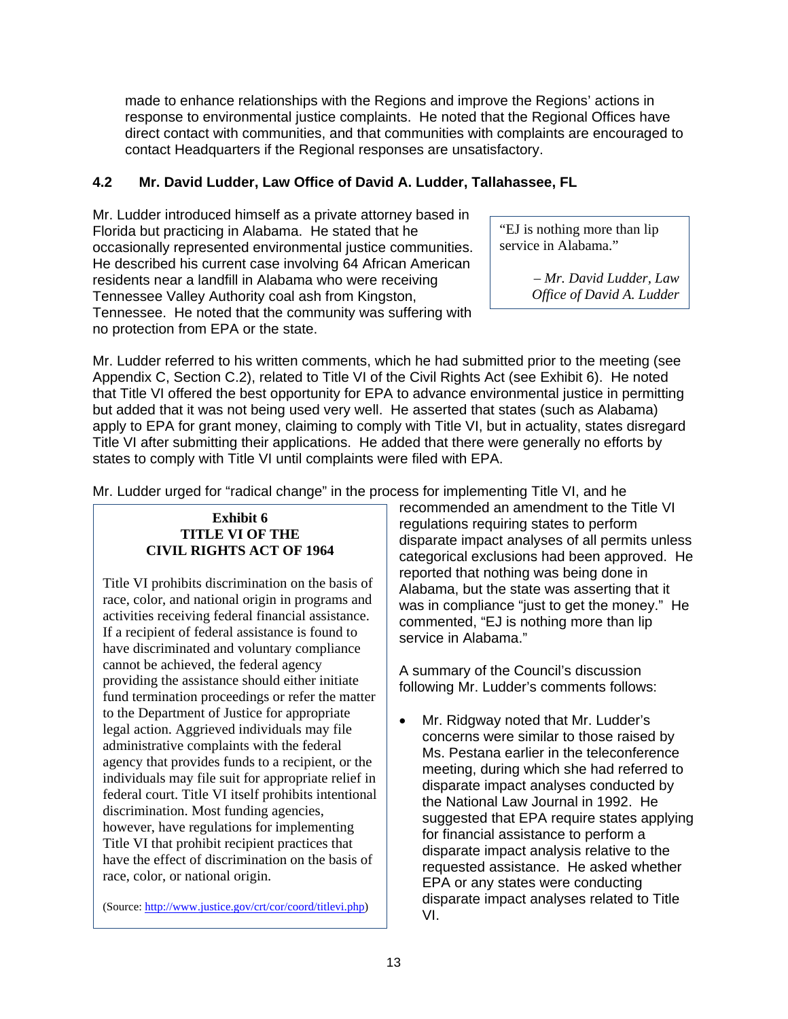made to enhance relationships with the Regions and improve the Regions' actions in response to environmental justice complaints. He noted that the Regional Offices have direct contact with communities, and that communities with complaints are encouraged to contact Headquarters if the Regional responses are unsatisfactory.

# **4.2 Mr. David Ludder, Law Office of David A. Ludder, Tallahassee, FL**

Mr. Ludder introduced himself as a private attorney based in Florida but practicing in Alabama. He stated that he "EJ is nothing more than lip<br>
occasionally represented environmental justice communities service in Alabama." occasionally represented environmental justice communities. He described his current case involving 64 African American residents near a landfill in Alabama who were receiving *– Mr. David Ludder, Law*  Tennessee Valley Authority coal ash from Kingston, *Office of David A. Ludder*  Tennessee. He noted that the community was suffering with no protection from EPA or the state.

Mr. Ludder referred to his written comments, which he had submitted prior to the meeting (see Appendix C, Section C.2), related to Title VI of the Civil Rights Act (see Exhibit 6). He noted that Title VI offered the best opportunity for EPA to advance environmental justice in permitting but added that it was not being used very well. He asserted that states (such as Alabama) apply to EPA for grant money, claiming to comply with Title VI, but in actuality, states disregard Title VI after submitting their applications. He added that there were generally no efforts by states to comply with Title VI until complaints were filed with EPA.

Mr. Ludder urged for "radical change" in the process for implementing Title VI, and he

have discriminated and voluntary compliance cannot be achieved, the federal agency<br>providing the assistance should either initiate<br>fullowing Mr. Ludder's comments follows:<br>fund termination proceedings or refer the matter to the Department of Justice for appropriate legal action. Aggrieved individuals may file administrative complaints with the federal agency that provides funds to a recipient, or the individuals may file suit for appropriate relief in federal court. Title VI itself prohibits intentional discrimination. Most funding agencies, however, have regulations for implementing Title VI that prohibit recipient practices that have the effect of discrimination on the basis of race, color, or national origin.

recommended an amendment to the Title VI **Exhibit 6**<br> **TITLE VI OF THE**<br> **CIVIL RIGHTS ACT OF 1964**<br> **CIVIL RIGHTS ACT OF 1964**<br> **CIVIL RIGHTS ACT OF 1964**<br> **CIVIL RIGHTS ACT OF 1964** Title VI prohibits discrimination on the basis of<br>race, color, and national origin in programs and<br>activities receiving federal financial assistance.<br>activities receiving federal financial assistance.<br>It a recipient of fed

• Mr. Ridgway noted that Mr. Ludder's concerns were similar to those raised by Ms. Pestana earlier in the teleconference meeting, during which she had referred to disparate impact analyses conducted by the National Law Journal in 1992. He suggested that EPA require states applying for financial assistance to perform a disparate impact analysis relative to the requested assistance. He asked whether EPA or any states were conducting (Source: http://www.justice.gov/crt/cor/coord/titlevi.php) disparate impact analyses related to Title VI.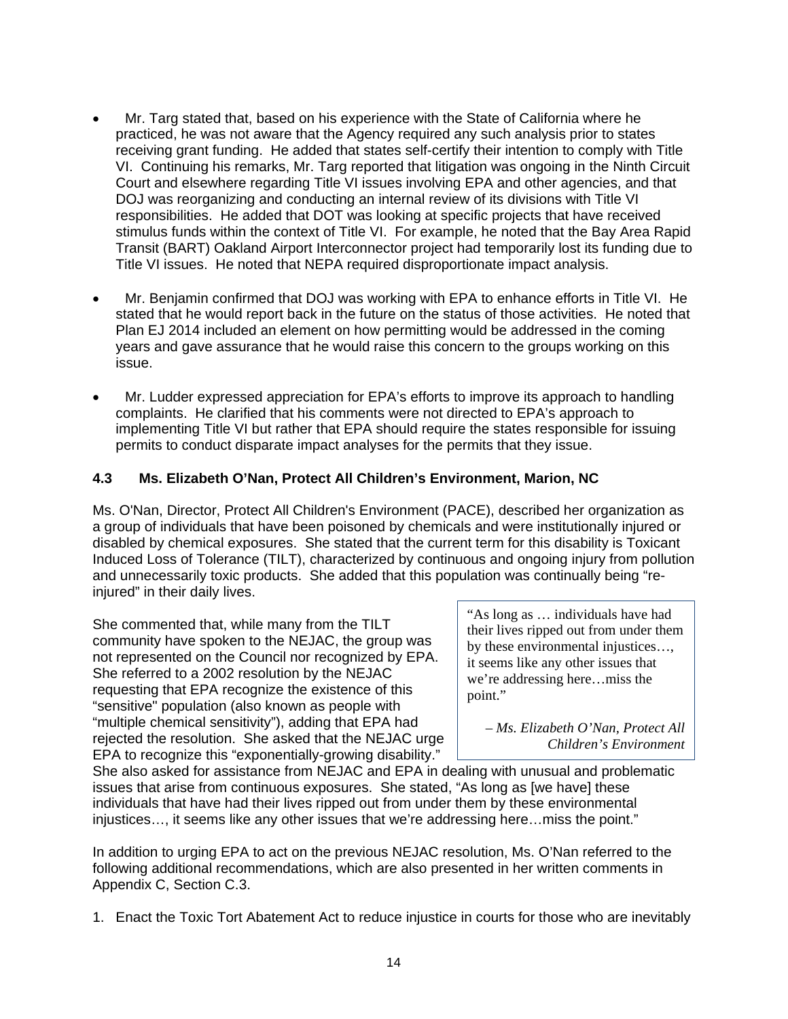- Mr. Targ stated that, based on his experience with the State of California where he practiced, he was not aware that the Agency required any such analysis prior to states receiving grant funding. He added that states self-certify their intention to comply with Title VI. Continuing his remarks, Mr. Targ reported that litigation was ongoing in the Ninth Circuit Court and elsewhere regarding Title VI issues involving EPA and other agencies, and that DOJ was reorganizing and conducting an internal review of its divisions with Title VI responsibilities. He added that DOT was looking at specific projects that have received stimulus funds within the context of Title VI. For example, he noted that the Bay Area Rapid Transit (BART) Oakland Airport Interconnector project had temporarily lost its funding due to Title VI issues. He noted that NEPA required disproportionate impact analysis.
- Mr. Benjamin confirmed that DOJ was working with EPA to enhance efforts in Title VI. He stated that he would report back in the future on the status of those activities. He noted that Plan EJ 2014 included an element on how permitting would be addressed in the coming years and gave assurance that he would raise this concern to the groups working on this issue.
- Mr. Ludder expressed appreciation for EPA's efforts to improve its approach to handling complaints. He clarified that his comments were not directed to EPA's approach to implementing Title VI but rather that EPA should require the states responsible for issuing permits to conduct disparate impact analyses for the permits that they issue.

# **4.3 Ms. Elizabeth O'Nan, Protect All Children's Environment, Marion, NC**

Ms. O'Nan, Director, Protect All Children's Environment (PACE), described her organization as a group of individuals that have been poisoned by chemicals and were institutionally injured or disabled by chemical exposures. She stated that the current term for this disability is Toxicant Induced Loss of Tolerance (TILT), characterized by continuous and ongoing injury from pollution and unnecessarily toxic products. She added that this population was continually being "reinjured" in their daily lives.

She commented that, while many from the TILT<br>community have spoken to the NEJAC, the group was<br>not represented on the Council nor recognized by EPA.<br>She referred to a 2002 resolution by the NEJAC<br>requesting that EPA recogn "multiple chemical sensitivity"), adding that EPA had *– Ms. Elizabeth O'Nan, Protect All* rejected the resolution. She asked that the NEJAC urge *Children's Environment* EPA to recognize this "exponentially-growing disability."

their lives ripped out from under them

She also asked for assistance from NEJAC and EPA in dealing with unusual and problematic issues that arise from continuous exposures. She stated, "As long as [we have] these individuals that have had their lives ripped out from under them by these environmental injustices…, it seems like any other issues that we're addressing here…miss the point."

In addition to urging EPA to act on the previous NEJAC resolution, Ms. O'Nan referred to the following additional recommendations, which are also presented in her written comments in Appendix C, Section C.3.

1. Enact the Toxic Tort Abatement Act to reduce injustice in courts for those who are inevitably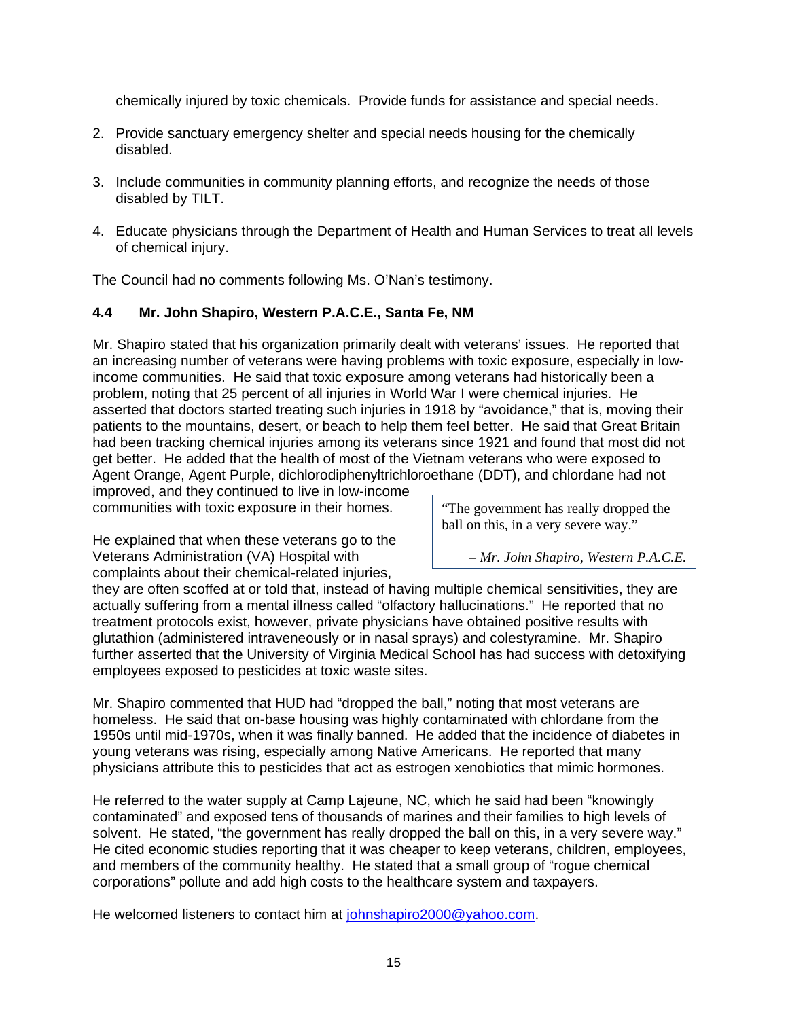chemically injured by toxic chemicals. Provide funds for assistance and special needs.

- 2. Provide sanctuary emergency shelter and special needs housing for the chemically disabled.
- 3. Include communities in community planning efforts, and recognize the needs of those disabled by TILT.
- 4. Educate physicians through the Department of Health and Human Services to treat all levels of chemical injury.

The Council had no comments following Ms. O'Nan's testimony.

# **4.4 Mr. John Shapiro, Western P.A.C.E., Santa Fe, NM**

Mr. Shapiro stated that his organization primarily dealt with veterans' issues. He reported that an increasing number of veterans were having problems with toxic exposure, especially in lowincome communities. He said that toxic exposure among veterans had historically been a problem, noting that 25 percent of all injuries in World War I were chemical injuries. He asserted that doctors started treating such injuries in 1918 by "avoidance," that is, moving their patients to the mountains, desert, or beach to help them feel better. He said that Great Britain had been tracking chemical injuries among its veterans since 1921 and found that most did not get better. He added that the health of most of the Vietnam veterans who were exposed to Agent Orange, Agent Purple, dichlorodiphenyltrichloroethane (DDT), and chlordane had not

improved, and they continued to live in low-income communities with toxic exposure in their homes. The government has really dropped the

He explained that when these veterans go to the Veterans Administration (VA) Hospital with *– Mr. John Shapiro, Western P.A.C.E.*  complaints about their chemical-related injuries,

ball on this, in a very severe way."

they are often scoffed at or told that, instead of having multiple chemical sensitivities, they are actually suffering from a mental illness called "olfactory hallucinations." He reported that no treatment protocols exist, however, private physicians have obtained positive results with glutathion (administered intraveneously or in nasal sprays) and colestyramine. Mr. Shapiro further asserted that the University of Virginia Medical School has had success with detoxifying employees exposed to pesticides at toxic waste sites.

Mr. Shapiro commented that HUD had "dropped the ball," noting that most veterans are homeless. He said that on-base housing was highly contaminated with chlordane from the 1950s until mid-1970s, when it was finally banned. He added that the incidence of diabetes in young veterans was rising, especially among Native Americans. He reported that many physicians attribute this to pesticides that act as estrogen xenobiotics that mimic hormones.

He referred to the water supply at Camp Lajeune, NC, which he said had been "knowingly contaminated" and exposed tens of thousands of marines and their families to high levels of solvent. He stated, "the government has really dropped the ball on this, in a very severe way." He cited economic studies reporting that it was cheaper to keep veterans, children, employees, and members of the community healthy. He stated that a small group of "rogue chemical corporations" pollute and add high costs to the healthcare system and taxpayers.

He welcomed listeners to contact him at johnshapiro2000@yahoo.com.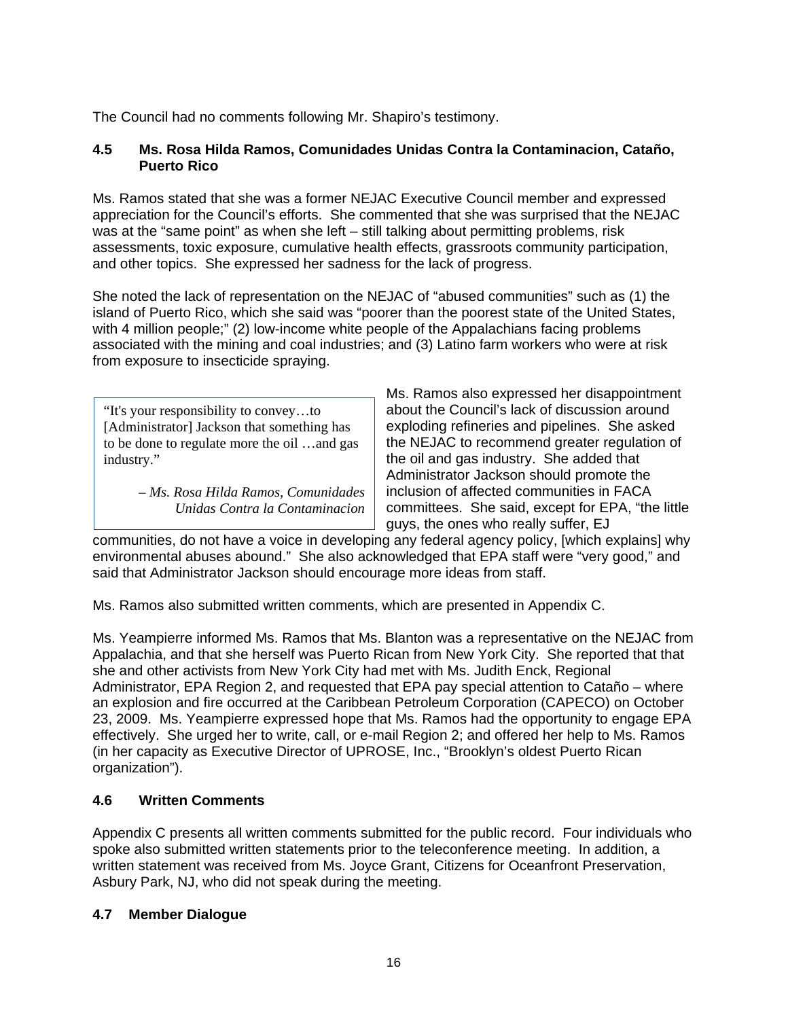The Council had no comments following Mr. Shapiro's testimony.

# **4.5 Ms. Rosa Hilda Ramos, Comunidades Unidas Contra la Contaminacion, Cataño, Puerto Rico**

Ms. Ramos stated that she was a former NEJAC Executive Council member and expressed appreciation for the Council's efforts. She commented that she was surprised that the NEJAC was at the "same point" as when she left – still talking about permitting problems, risk assessments, toxic exposure, cumulative health effects, grassroots community participation, and other topics. She expressed her sadness for the lack of progress.

She noted the lack of representation on the NEJAC of "abused communities" such as (1) the island of Puerto Rico, which she said was "poorer than the poorest state of the United States, with 4 million people;" (2) low-income white people of the Appalachians facing problems associated with the mining and coal industries; and (3) Latino farm workers who were at risk from exposure to insecticide spraying.

industry." **the oil and gas industry.** She added that

Ms. Ramos also expressed her disappointment "It's your responsibility to convey…to about the Council's lack of discussion around [Administrator] Jackson that something has exploding refineries and pipelines. She asked to be done to regulate more the oil  $\ldots$  and gas  $\Box$  the NEJAC to recommend greater regulation of Administrator Jackson should promote the *– Ms. Rosa Hilda Ramos, Comunidades* inclusion of affected communities in FACA *Unidas Contra la Contaminacion* | committees. She said, except for EPA, "the little guys, the ones who really suffer, EJ

communities, do not have a voice in developing any federal agency policy, [which explains] why environmental abuses abound." She also acknowledged that EPA staff were "very good," and said that Administrator Jackson should encourage more ideas from staff.

Ms. Ramos also submitted written comments, which are presented in Appendix C.

Ms. Yeampierre informed Ms. Ramos that Ms. Blanton was a representative on the NEJAC from Appalachia, and that she herself was Puerto Rican from New York City. She reported that that she and other activists from New York City had met with Ms. Judith Enck, Regional Administrator, EPA Region 2, and requested that EPA pay special attention to Cataño – where an explosion and fire occurred at the Caribbean Petroleum Corporation (CAPECO) on October 23, 2009. Ms. Yeampierre expressed hope that Ms. Ramos had the opportunity to engage EPA effectively. She urged her to write, call, or e-mail Region 2; and offered her help to Ms. Ramos (in her capacity as Executive Director of UPROSE, Inc., "Brooklyn's oldest Puerto Rican organization").

# **4.6 Written Comments**

Appendix C presents all written comments submitted for the public record. Four individuals who spoke also submitted written statements prior to the teleconference meeting. In addition, a written statement was received from Ms. Joyce Grant, Citizens for Oceanfront Preservation, Asbury Park, NJ, who did not speak during the meeting.

# **4.7 Member Dialogue**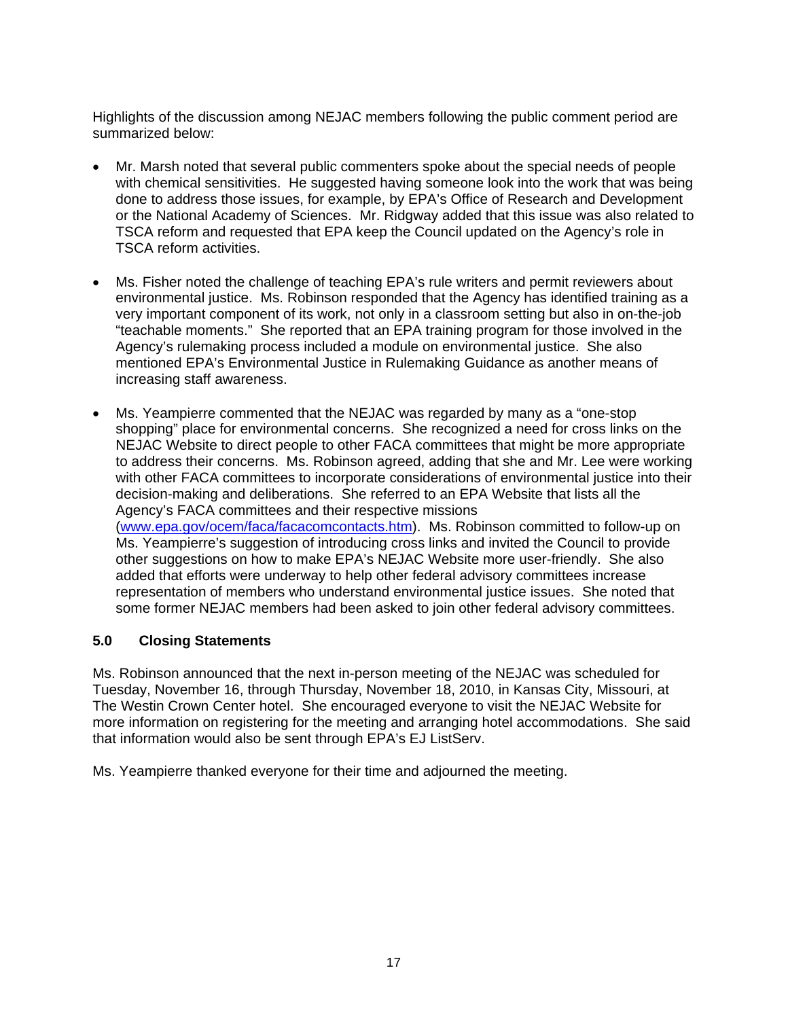Highlights of the discussion among NEJAC members following the public comment period are summarized below:

- Mr. Marsh noted that several public commenters spoke about the special needs of people with chemical sensitivities. He suggested having someone look into the work that was being done to address those issues, for example, by EPA's Office of Research and Development or the National Academy of Sciences. Mr. Ridgway added that this issue was also related to TSCA reform and requested that EPA keep the Council updated on the Agency's role in TSCA reform activities.
- Ms. Fisher noted the challenge of teaching EPA's rule writers and permit reviewers about environmental justice. Ms. Robinson responded that the Agency has identified training as a very important component of its work, not only in a classroom setting but also in on-the-job "teachable moments." She reported that an EPA training program for those involved in the Agency's rulemaking process included a module on environmental justice. She also mentioned EPA's Environmental Justice in Rulemaking Guidance as another means of increasing staff awareness.
- Ms. Yeampierre commented that the NEJAC was regarded by many as a "one-stop shopping" place for environmental concerns. She recognized a need for cross links on the NEJAC Website to direct people to other FACA committees that might be more appropriate to address their concerns. Ms. Robinson agreed, adding that she and Mr. Lee were working with other FACA committees to incorporate considerations of environmental justice into their decision-making and deliberations. She referred to an EPA Website that lists all the Agency's FACA committees and their respective missions (www.epa.gov/ocem/faca/facacomcontacts.htm). Ms. Robinson committed to follow-up on Ms. Yeampierre's suggestion of introducing cross links and invited the Council to provide other suggestions on how to make EPA's NEJAC Website more user-friendly. She also added that efforts were underway to help other federal advisory committees increase representation of members who understand environmental justice issues. She noted that some former NEJAC members had been asked to join other federal advisory committees.

## **5.0 Closing Statements**

Ms. Robinson announced that the next in-person meeting of the NEJAC was scheduled for Tuesday, November 16, through Thursday, November 18, 2010, in Kansas City, Missouri, at The Westin Crown Center hotel. She encouraged everyone to visit the NEJAC Website for more information on registering for the meeting and arranging hotel accommodations. She said that information would also be sent through EPA's EJ ListServ.

Ms. Yeampierre thanked everyone for their time and adjourned the meeting.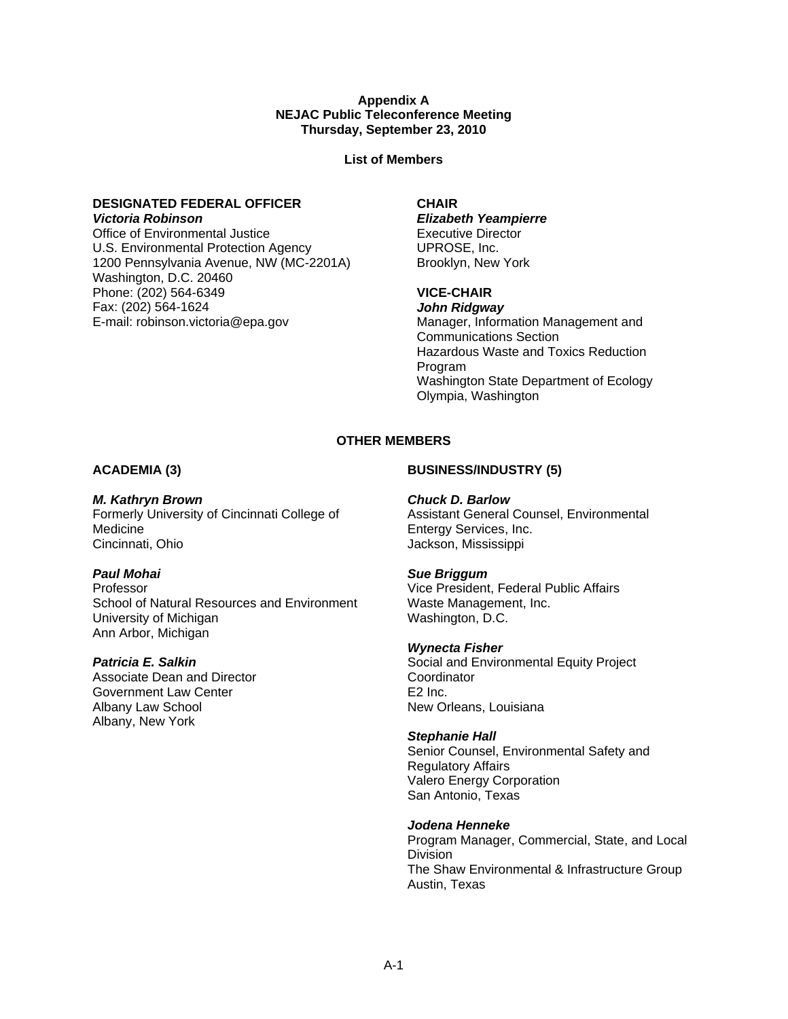#### **Appendix A NEJAC Public Teleconference Meeting Thursday, September 23, 2010**

**List of Members**

# **DESIGNATED FEDERAL OFFICER**

*Victoria Robinson*  Office of Environmental Justice U.S. Environmental Protection Agency 1200 Pennsylvania Avenue, NW (MC-2201A) Washington, D.C. 20460 Phone: (202) 564-6349 Fax: (202) 564-1624 E-mail: robinson.victoria@epa.gov

#### **CHAIR**

*Elizabeth Yeampierre*  Executive Director UPROSE, Inc. Brooklyn, New York

## **VICE-CHAIR**

*John Ridgway*  Manager, Information Management and Communications Section Hazardous Waste and Toxics Reduction Program Washington State Department of Ecology Olympia, Washington

## **OTHER MEMBERS**

## **ACADEMIA (3)**

*M. Kathryn Brown*  Formerly University of Cincinnati College of Medicine Cincinnati, Ohio

## *Paul Mohai*

Professor School of Natural Resources and Environment University of Michigan Ann Arbor, Michigan

## *Patricia E. Salkin*

Associate Dean and Director Government Law Center Albany Law School Albany, New York

## **BUSINESS/INDUSTRY (5)**

## *Chuck D. Barlow*

Assistant General Counsel, Environmental Entergy Services, Inc. Jackson, Mississippi

## *Sue Briggum*

Vice President, Federal Public Affairs Waste Management, Inc. Washington, D.C.

## *Wynecta Fisher*

Social and Environmental Equity Project **Coordinator** E2 Inc. New Orleans, Louisiana

#### *Stephanie Hall*

Senior Counsel, Environmental Safety and Regulatory Affairs Valero Energy Corporation San Antonio, Texas

#### *Jodena Henneke*

Program Manager, Commercial, State, and Local Division The Shaw Environmental & Infrastructure Group Austin, Texas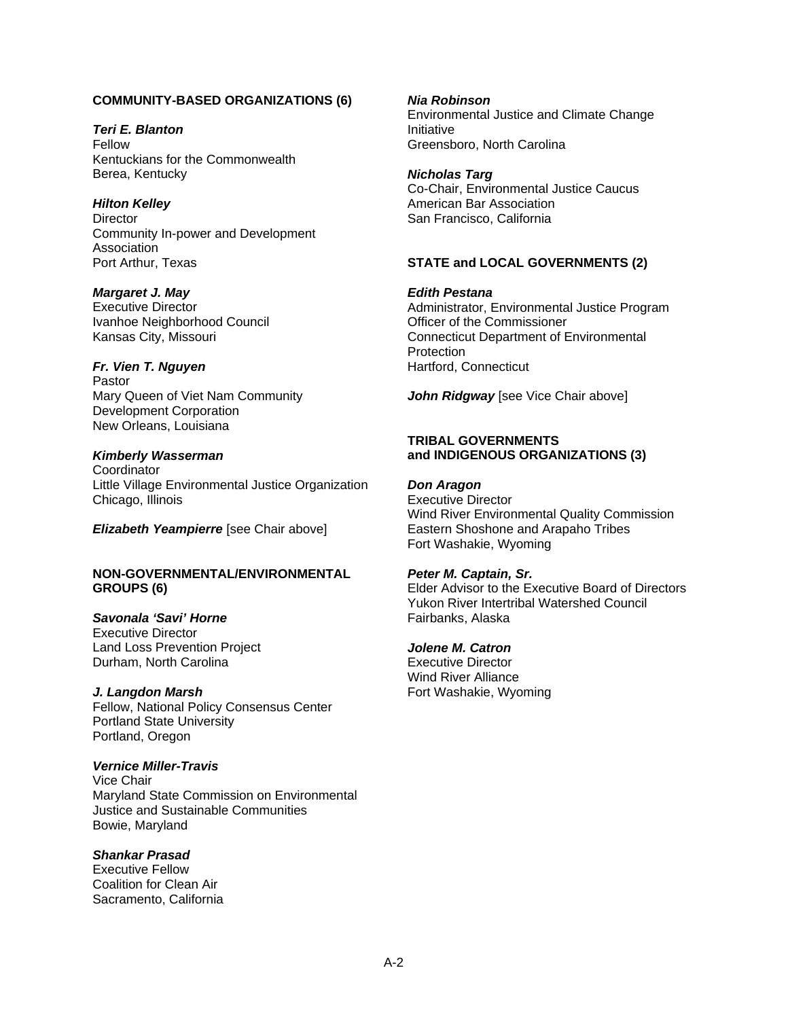#### **COMMUNITY-BASED ORGANIZATIONS (6)**

*Teri E. Blanton*  Fellow Kentuckians for the Commonwealth Berea, Kentucky

#### *Hilton Kelley*

**Director** Community In-power and Development **Association** Port Arthur, Texas

*Margaret J. May*  Executive Director Ivanhoe Neighborhood Council Kansas City, Missouri

## *Fr. Vien T. Nguyen*

Pastor Mary Queen of Viet Nam Community Development Corporation New Orleans, Louisiana

#### *Kimberly Wasserman*

**Coordinator** Little Village Environmental Justice Organization Chicago, Illinois

*Elizabeth Yeampierre* [see Chair above]

#### **NON-GOVERNMENTAL/ENVIRONMENTAL GROUPS (6)**

## *Savonala 'Savi' Horne*

Executive Director Land Loss Prevention Project Durham, North Carolina

#### *J. Langdon Marsh*

Fellow, National Policy Consensus Center Portland State University Portland, Oregon

## *Vernice Miller-Travis*

 Bowie, Maryland Vice Chair Maryland State Commission on Environmental Justice and Sustainable Communities

## *Shankar Prasad*

Executive Fellow Coalition for Clean Air Sacramento, California

#### *Nia Robinson*

Environmental Justice and Climate Change Initiative Greensboro, North Carolina

# *Nicholas Targ*

Co-Chair, Environmental Justice Caucus American Bar Association San Francisco, California

## **STATE and LOCAL GOVERNMENTS (2)**

*Edith Pestana* 

Administrator, Environmental Justice Program Officer of the Commissioner Connecticut Department of Environmental **Protection** Hartford, Connecticut

John Ridgway [see Vice Chair above]

#### **TRIBAL GOVERNMENTS and INDIGENOUS ORGANIZATIONS (3)**

## *Don Aragon*

Executive Director Wind River Environmental Quality Commission Eastern Shoshone and Arapaho Tribes Fort Washakie, Wyoming

#### *Peter M. Captain, Sr.*

Elder Advisor to the Executive Board of Directors Yukon River Intertribal Watershed Council Fairbanks, Alaska

#### *Jolene M. Catron*

Executive Director Wind River Alliance Fort Washakie, Wyoming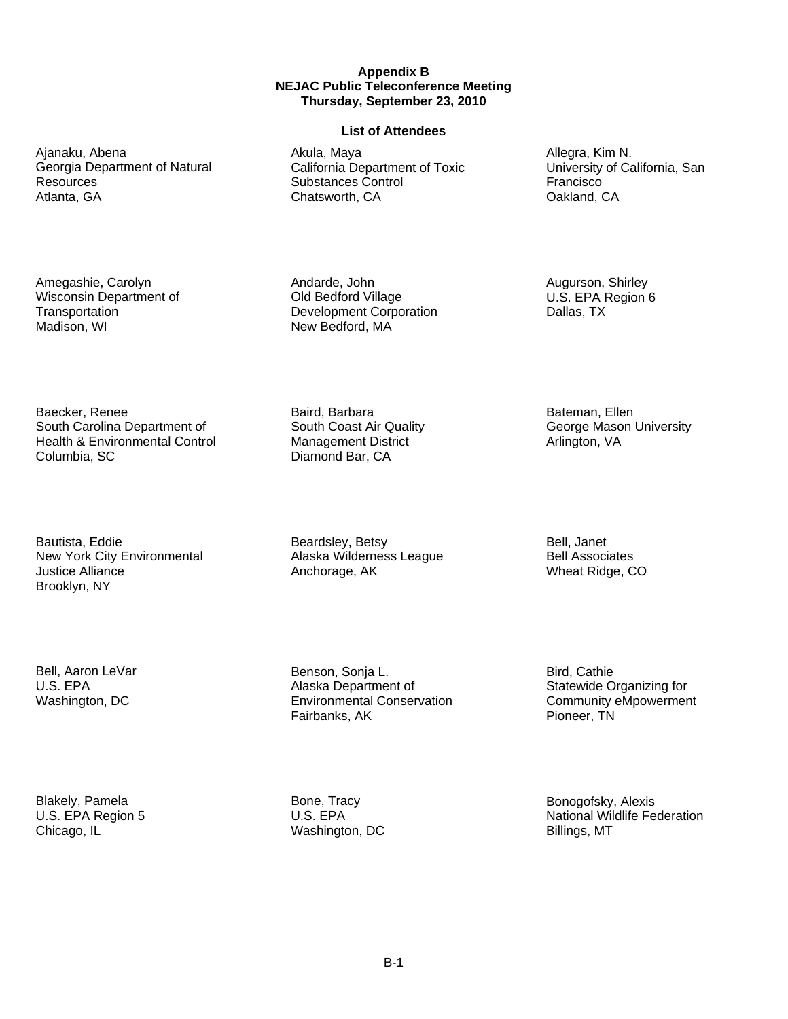#### **Appendix B NEJAC Public Teleconference Meeting Thursday, September 23, 2010**

#### **List of Attendees**

Akula, Maya California Department of Toxic Substances Control Chatsworth, CA

Andarde, John Old Bedford Village Development Corporation New Bedford, MA

Baird, Barbara South Coast Air Quality Management District Diamond Bar, CA

Beardsley, Betsy Alaska Wilderness League Anchorage, AK

Environmental Conservation<br>Fairbanks, AK

Allegra, Kim N. University of California, San Francisco Oakland, CA

Augurson, Shirley U.S. EPA Region 6 Dallas, TX

Bateman, Ellen George Mason University Arlington, VA

Bell, Janet Bell Associates Wheat Ridge, CO

Bird, Cathie Statewide Organizing for Community eMpowerment Pioneer, TN

National Wildlife Federation<br>Billings, MT Bonogofsky, Alexis

#### Ajanaku, Abena Georgia Department of Natural Resources Atlanta, GA

Amegashie, Carolyn Wisconsin Department of **Transportation** Madison, WI

Baecker, Renee South Carolina Department of Health & Environmental Control Columbia, SC

Bautista, Eddie New York City Environmental Justice Alliance Brooklyn, NY

Bell, Aaron LeVar U.S. EPA Washington, DC

Blakely, Pamela U.S. EPA Region 5 Chicago, IL

Bone, Tracy U.S. EPA Washington, DC

Benson, Sonja L. Alaska Department of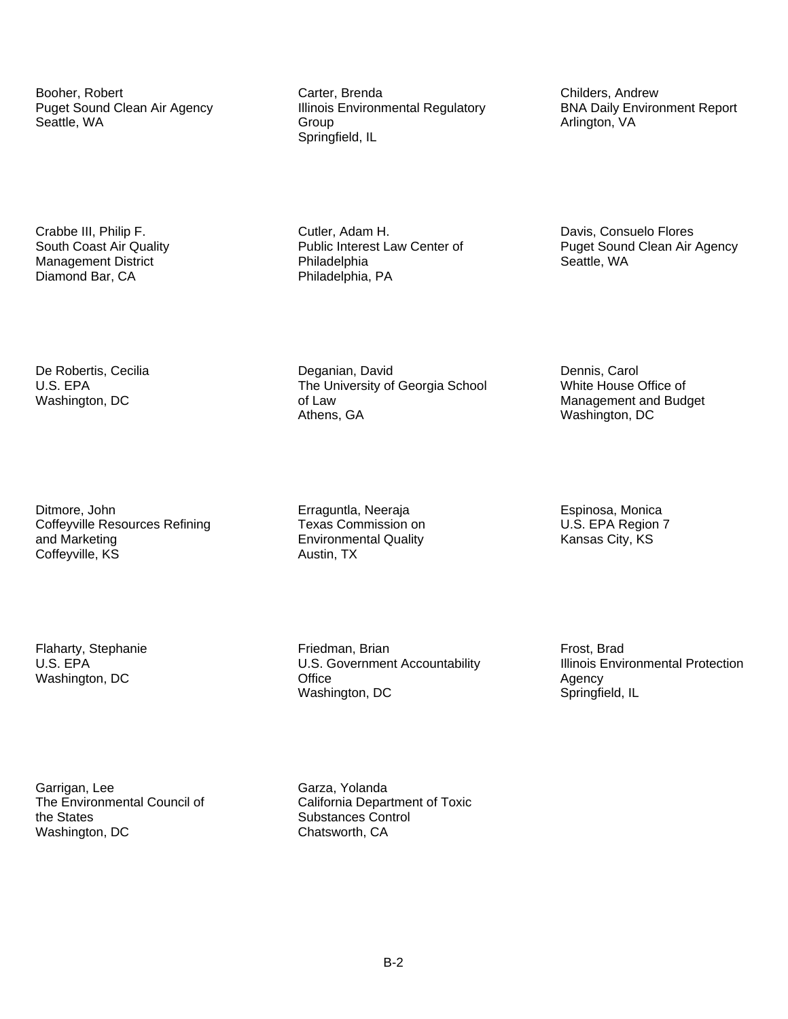Ditmore, John **Exaguntla, Neeraja** Erraguntla, Neeraja Espinosa, Monica<br>Coffeyville Resources Refining **Exas Commission** on **Exaguntla** U.S. EPA Region 7 Coffeyville Resources Refining and Marketing **Environmental Quality** Environmental Quality Kansas City, KS Coffeyville, KS Austin, TX

Booher, Robert **Carter, Brenda** Carter, Brenda<br>
Puget Sound Clean Air Agency **Childers**, Illinois Environmental Regulatory **Childers**, Andrew BNA Daily Environment Report **Illinois Environmental Regulatory** Seattle, WA Group Group Group Arlington, VA Arlington, VA Springfield, IL

Crabbe III, Philip F. Cutler, Adam H. Davis, Consuelo Flores Management District **National Philadelphia** Philadelphia Seattle, WA<br>Diamond Bar, CA **Philadelphia** PA Philadelphia, PA

De Robertis, Cecilia <sup>Deganian, David Deganian, David Dennis, Carol Dennis, Carol Dennis, Carol Dennis, Carol<br>
Dennis, Carol Dennis, Carol Deganian, David Georgia School Dennis, Carol Dennis, Carol Dennis, Carol Dennis,</sup> The University of Georgia School Washington, DC **of Law** Management and Budget Athens, GA Washington, DC

Office Flaharty, Stephanie Friedman, Brian Frost, Brad Washington, DC <br>
Washington, DC Agency<br>
Washington, DC Agency<br>
Springfield, IL Washington, DC

U.S. EPA **U.S.** Government Accountability **Illinois Environmental Protection** 

Garrigan, Lee Garza, Yolanda<br>The Environmental Council of Galifornia Depar the States **Substances** Control Washington, DC Chatsworth, CA

California Department of Toxic

South Coast Air Quality **Public Interest Law Center of Puget Sound Clean Air Agency**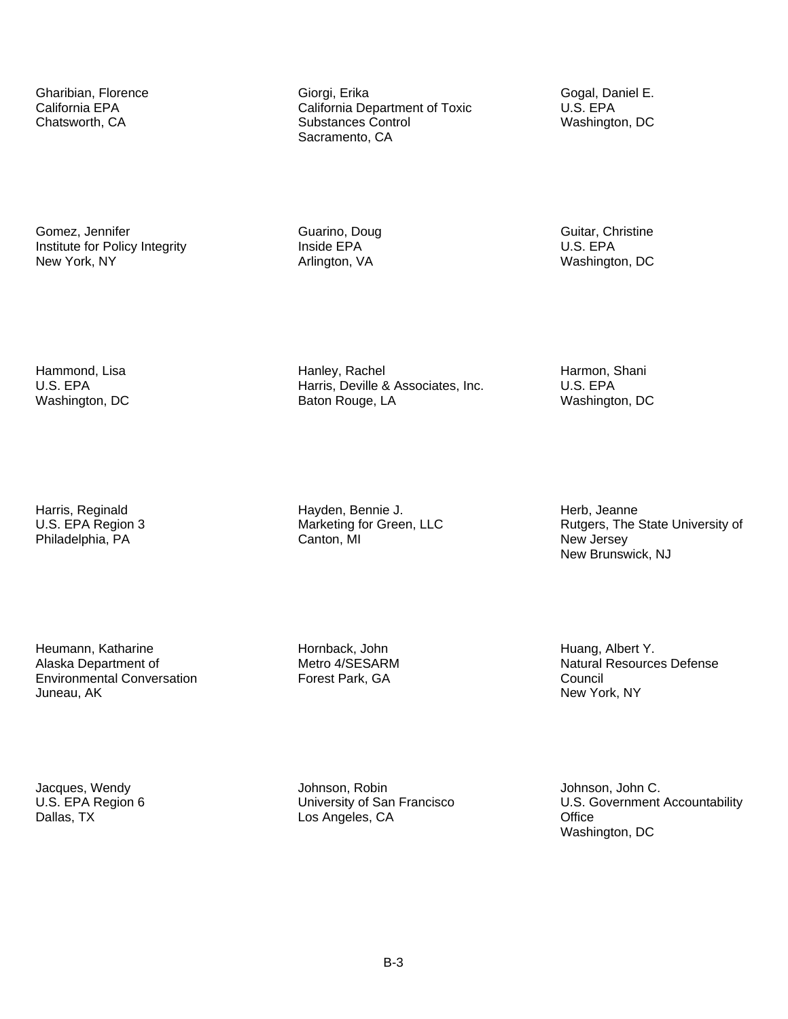Gomez, Jennifer **Guarino, Doug Comez, Jennifer** Guitar, Christine Guitar, Christine Comez, Guitar, Christine Comez<br>
Suitar, Christine Comez, Christine Comez, Christine Comez, Christine Comez, Christine Comez, Christine Com Institute for Policy Integrity **Inside EPA** Inside EPA U.S. EPA New York, NY Charlington, VA Mashington, DC Arlington, VA Mashington, DC

Gharibian, Florence **Giorgi, Erika** Giorgi, Erika Gogal, Daniel E.<br>California EPA California Department of Toxic **California Department** of Toxic California Department of Toxic Chatsworth, CA **Substances Control** Washington, DC Sacramento, CA

 U.S. EPA Harris, Deville & Associates, Inc. U.S. EPA Hammond, Lisa **Hanley, Rachel Hangest Hammon, Shani** Harmon, Shani Harmon, Shani Harmon, Shani Harmon, Shani Harmon, Shani Harmon, Shani Harmon, Shani Harmon, Shani Harmon, Shani Harmon, Shani Harmon, Shani Harmon, Shani H Washington, DC **Baton Rouge, LA** Washington, DC Baton Rouge, LA

Harris, Reginald **Hayden, Bennie J.** Harris, Reginald Herb, Jeanne Herb, Jeanne U.S. EPA Region 3

Heumann, Katharine **Hornback, John Huang, Albert Y.** Huang, Albert Y. Alaska Department of **Metro 4/SESARM** Natural Resources Defense Environmental Conversation **Forest Park, GA** Council Juneau, AK New York, NY

Jacques, Wendy **Gallery Communist Communist Communisty Communist Communist Communist Communist Communist Communist Communist Communist Communisty of San Francisco (G.C. Covernment)** 

Office<br>Washington, DC U.S. EPA Region 6 University of San Francisco U.S. Government Accountability Dallas, TX Los Angeles, CA Office Washington, DC

New Jersey<br>New Brunswick, NJ Rutgers, The State University of Philadelphia, PA Canton, MI Canton, MI New Jersey New Jersey New Letter of Article of the Canton, MI New Brunswick, NJ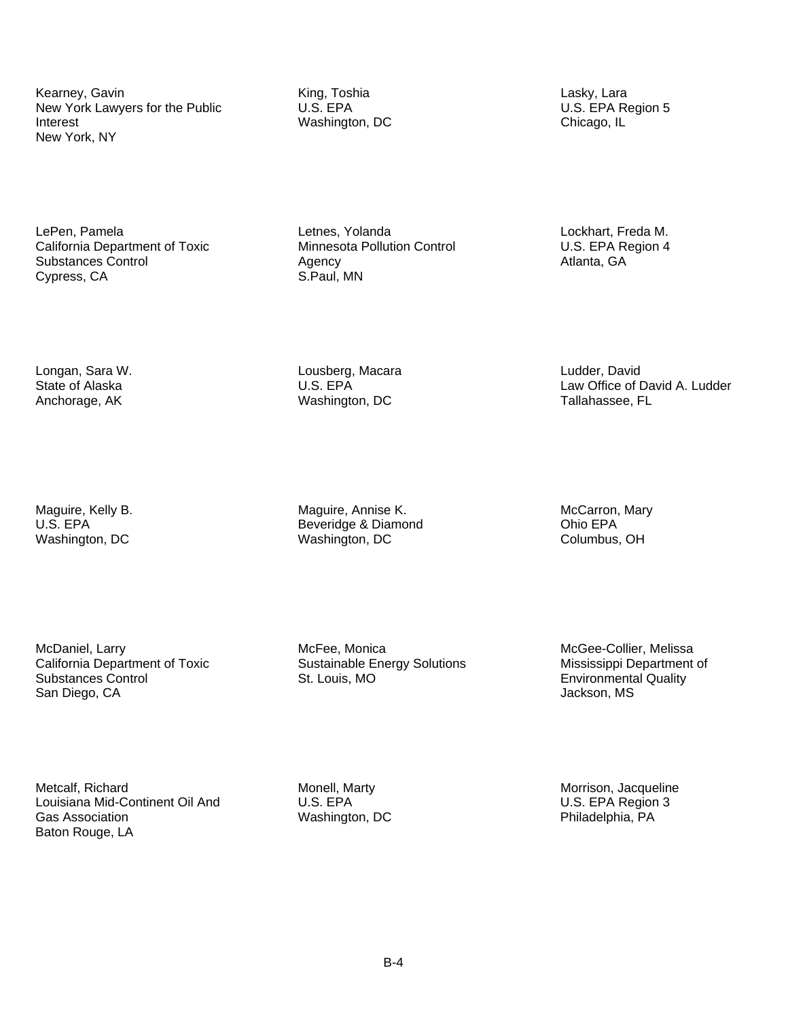Interest Kearney, Gavin King, Toshia Lasky, Lara New York Lawyers for the Public New York, NY

Washington, DC Chicago, IL

LePen, Pamela **Department of Toxic**<br>California Department of Toxic **California Department of Toxic** Minnesota Pollution Control **California Department of Toxic** California Department of Toxic Minnesota Pollution Control U.S. EPA Region 4 Substances Control **Agency** Agency Agency Atlanta, GA Cypress, CA **Atlanta**, GA S.Paul, MN Cypress, CA

Longan, Sara W. Lousberg, Macara Ludder, David Anchorage, AK **Network** Washington, DC Tallahassee, FL

Law Office of David A. Ludder

McDaniel, Larry **Monica** McFee, Monica Moreover, Mercee-Collier, Melissa<br>California Department of Toxic Sustainable Energy Solutions Mississippi Department Substances Control **St. Louis, MO** Environmental Quality<br>
Substances Control San Diego, CA **Environmental** Quality San Diego, CA

Maguire, Kelly B. The Maguire, Annise K. Maguire, Annise K. McCarron, Mary<br>
U.S. EPA COMERCARRY MARY Beveridge & Diamond Beveridge & Diamond Washington, DC Washington, DC Columbus, OH

Sustainable Energy Solutions Mississippi Department of

Metcalf, Richard Monell, Monell, Marty Monell, Marty Morrison, Jacqueline Louisiana Mid-Continent Oil And U.S. EPA U.S. EPA Region 3 Gas Association **Example 20** Washington, DC **Cass Association** Philadelphia, PA Baton Rouge, LA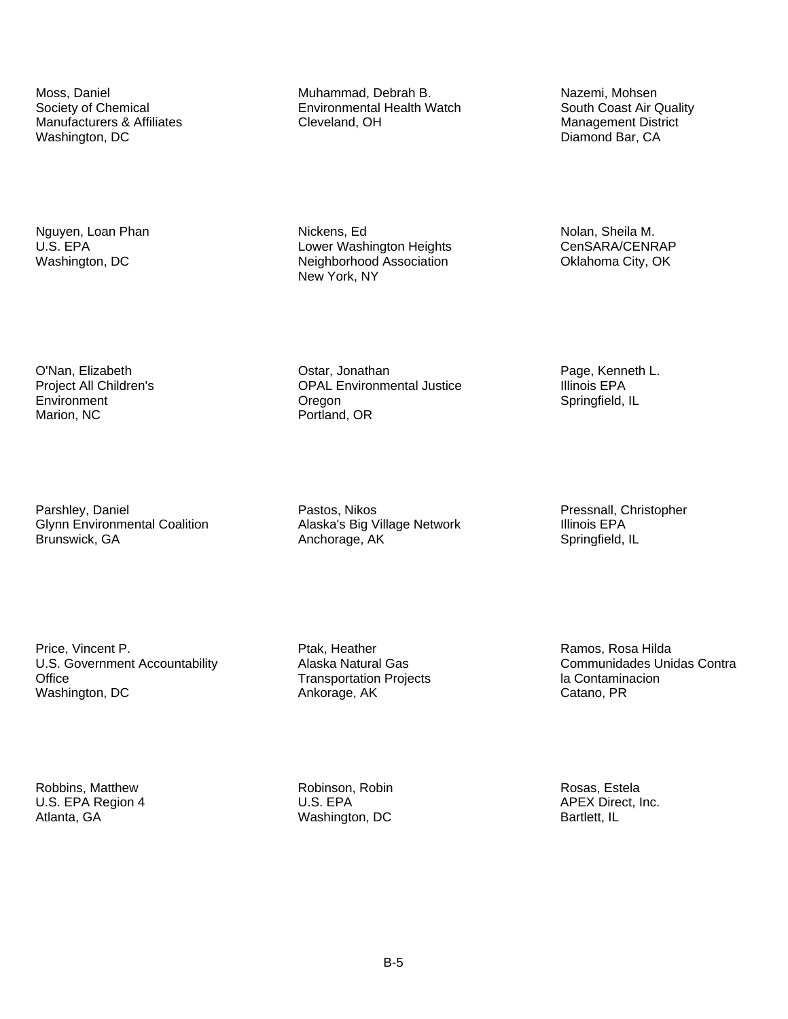Manufacturers & Affiliates 
Manufacturers & Affiliates

Cleveland, OH

Cleveland, OH

Manufacturers

Manufacturers

Communicaturers

Cleveland, OH

Manufacturers

Cleveland, OH

Cleveland, OH

Marion, NC Portland, OR

Parshley, Daniel Pastos, Nikos Pastos, Nikos Parshley, Daniel Pressnall, Christopher<br> Alaska's Big Village Network Pullinois EPA Glynn Environmental Coalition Brunswick, GA **Anchorage, AK** Springfield, IL

Office Price, Vincent P. Ptak, Heather Ramos, Rosa Hilda U.S. Government Accountability **Alaska Natural Gas** Communidades Unidas Contra Washington, DC **Ankorage, AK** Catano, PR

Moss, Daniel **Muhammad, Debrah B.** Nazemi, Mohsen Society of Chemical Muhammad, Debrah B. Nazemi, Mohsen South Coast Air Quality Environmental Health Watch

Nguyen, Loan Phan Nickens, Ed Nickens, Ed Nolan, Sheila M.<br>
U.S. EPA Nolan, Sheila M. Nower Washington Heights Nolan, Sheila M. Nolan, Sheila M. Lower Washington Heights CenSARA/CENRAP Washington, DC **Neighborhood Association** Oklahoma City, OK New York, NY

O'Nan, Elizabeth Chan, Bage, Kenneth L.<br>
Project All Children's CPAL Environmental Justice CPA Changes EPA **OPAL Environmental Justice** Environment **Environment** Cregon Communication Cregon Springfield, IL

Transportation Projects<br>
Ankorage, AK<br>
Catano, PR

Diamond Bar, CA

Robbins, Matthew **Robinson, Robin Robin Robin Robin Rosas**, Estela U.S. EPA Region 4 **U.S. EPA CONSERVING APEX Direct, Inc.** Atlanta, GA **Mashington, DC** Bartlett, IL Bartlett, IL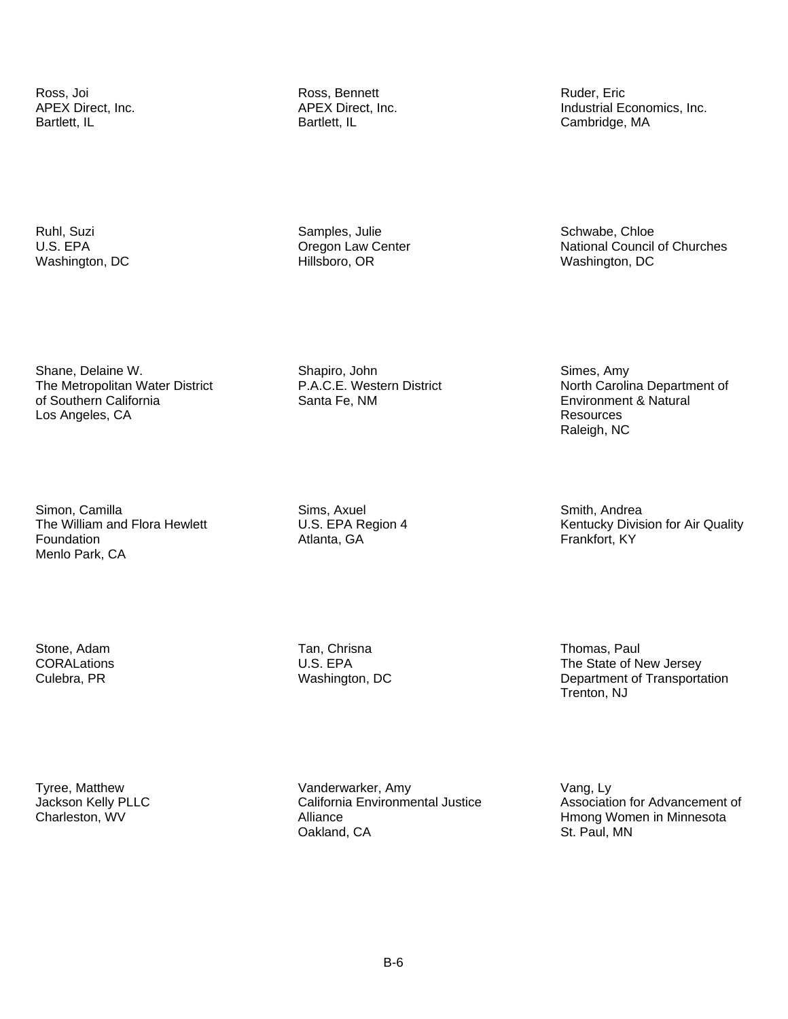APEX Direct, Inc.

Ross, Joi **Ross, Bennett** Ross, Bennett Ruder, Eric Ruder, Eric<br>APEX Direct, Inc. The Ruder Review APEX Direct, Inc. The Ruder of Ruder, Eric APEX Direct, Inc. Bartlett, IL **Bartlett**, IL **Bartlett**, IL **Bartlett**, IL **Cambridge**, MA

Industrial Economics, Inc.

Oregon Law Center Ruhl, Suzi Samples, Julie Samples, Julie Schwabe, Chloe U.S. EPA **CHURCH CONSTRESS CONSTRESS IN CONSTRESS CONSTRESS CONSTRESS CONSTRESS CONSTRESS CONSTRESS OF CONSTRESS CONSTRESS CONSTRESS OF CONSTRESS CONSTRESS CONSTRESS OF CONSTRESS CONSTRESS CONSTRESS OF CONSTRESS CONSTRESS** Washington, DC **Hillsboro, OR** Hillsboro, OR Washington, DC

Shane, Delaine W. The Metropolitan Water District of Southern California Los Angeles, CA

 P.A.C.E. Western District Santa Fe, NM Shapiro, John

Simes, Amy North Carolina Department of Environment & Natural Resources Raleigh, NC

Simon, Camilla The William and Flora Hewlett Foundation Menlo Park, CA

Sims, Axuel U.S. EPA Region 4 Atlanta, GA

Smith, Andrea Kentucky Division for Air Quality Frankfort, KY

**CORALations** 

Stone, Adam **Tan, Chrisna** Tan, Chrisna Thomas, Paul

U.S. EPA The State of New Jersey Culebra, PR Washington, DC Department of Transportation Trenton, NJ

Tyree, Matthew Vanderwarker, Amy Vang, Ly Charleston, WV **Alliance** Alliance **Here** Hmong Women in Minnesota Oakland, CA St. Paul, MN

Jackson Kelly PLLC **California Environmental Justice** Association for Advancement of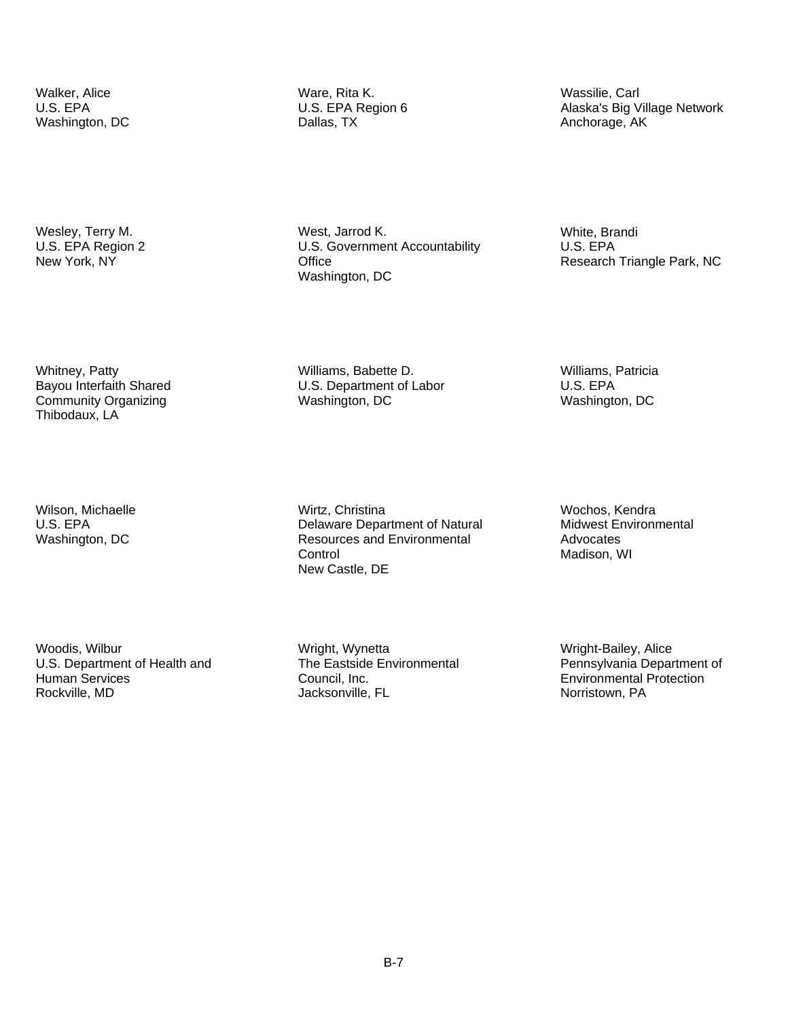Wesley, Terry M. U.S. EPA Region 2 New York, NY

Whitney, Patty Bayou Interfaith Shared Community Organizing Thibodaux, LA

Wilson, Michaelle U.S. EPA Washington, DC

**Human Services** Woodis, Wilbur U.S. Department of Health and Rockville, MD

Walker, Alice **Ware, Rita K.** Ware, Rita K. Wassilie, Carl U.S. EPA Negion 6 Massilie, Carl U.S. EPA Negion 6 Washington, DC **Dallas, TX** Dallas, TX **Anchorage, AK** Anchorage, AK

> Office West, Jarrod K. U.S. Government Accountability Washington, DC

Williams, Babette D. U.S. Department of Labor Washington, DC

Research Triangle Park, NC

Williams, Patricia U.S. EPA Washington, DC

White, Brandi U.S. EPA

Wirtz, Christina Delaware Department of Natural Resources and Environmental **Control** New Castle, DE

Wochos, Kendra Midwest Environmental Advocates Madison, WI

Wright, Wynetta The Eastside Environmental Council, Inc. Jacksonville, FL

Wright-Bailey, Alice Pennsylvania Department of Environmental Protection Norristown, PA

Alaska's Big Village Network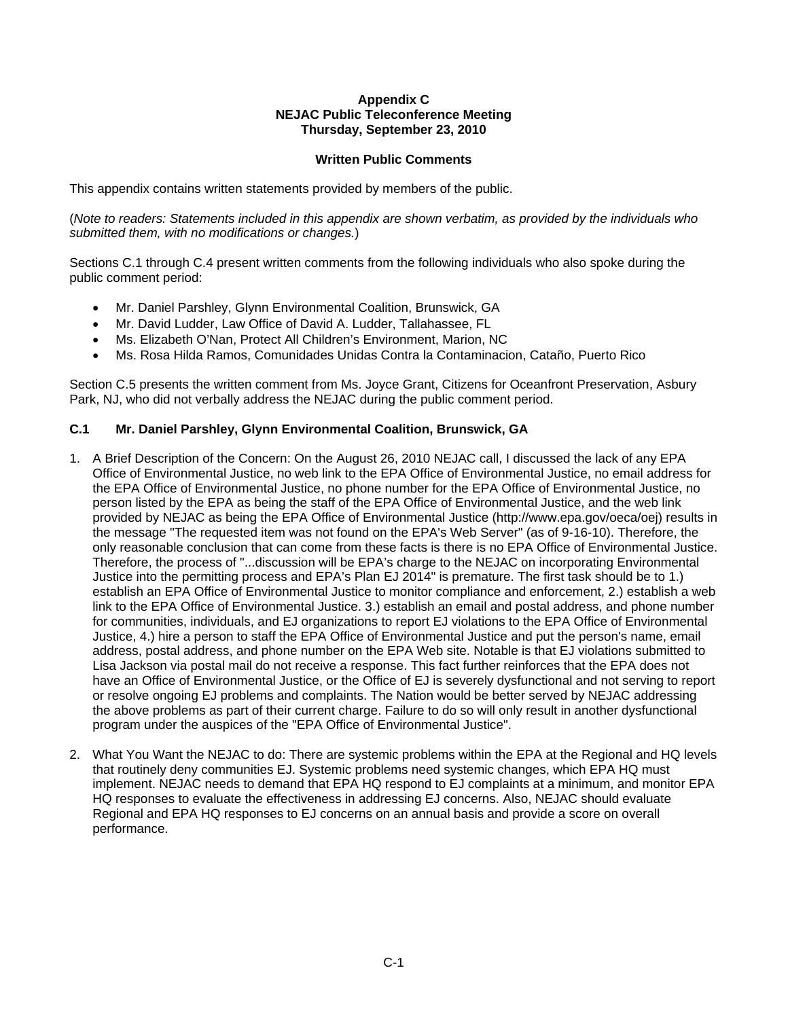#### **Appendix C NEJAC Public Teleconference Meeting Thursday, September 23, 2010**

## **Written Public Comments**

This appendix contains written statements provided by members of the public.

(*Note to readers: Statements included in this appendix are shown verbatim, as provided by the individuals who submitted them, with no modifications or changes.*)

Sections C.1 through C.4 present written comments from the following individuals who also spoke during the public comment period:

- Mr. Daniel Parshley, Glynn Environmental Coalition, Brunswick, GA
- Mr. David Ludder, Law Office of David A. Ludder, Tallahassee, FL
- Ms. Elizabeth O'Nan, Protect All Children's Environment, Marion, NC
- Ms. Rosa Hilda Ramos, Comunidades Unidas Contra la Contaminacion, Cataño, Puerto Rico

Section C.5 presents the written comment from Ms. Joyce Grant, Citizens for Oceanfront Preservation, Asbury Park, NJ, who did not verbally address the NEJAC during the public comment period.

#### **C.1 Mr. Daniel Parshley, Glynn Environmental Coalition, Brunswick, GA**

- 1. A Brief Description of the Concern: On the August 26, 2010 NEJAC call, I discussed the lack of any EPA Office of Environmental Justice, no web link to the EPA Office of Environmental Justice, no email address for the EPA Office of Environmental Justice, no phone number for the EPA Office of Environmental Justice, no person listed by the EPA as being the staff of the EPA Office of Environmental Justice, and the web link provided by NEJAC as being the EPA Office of Environmental Justice (http://www.epa.gov/oeca/oej) results in the message "The requested item was not found on the EPA's Web Server" (as of 9-16-10). Therefore, the only reasonable conclusion that can come from these facts is there is no EPA Office of Environmental Justice. Therefore, the process of "...discussion will be EPA's charge to the NEJAC on incorporating Environmental Justice into the permitting process and EPA's Plan EJ 2014" is premature. The first task should be to 1.) establish an EPA Office of Environmental Justice to monitor compliance and enforcement, 2.) establish a web link to the EPA Office of Environmental Justice. 3.) establish an email and postal address, and phone number for communities, individuals, and EJ organizations to report EJ violations to the EPA Office of Environmental Justice, 4.) hire a person to staff the EPA Office of Environmental Justice and put the person's name, email address, postal address, and phone number on the EPA Web site. Notable is that EJ violations submitted to Lisa Jackson via postal mail do not receive a response. This fact further reinforces that the EPA does not have an Office of Environmental Justice, or the Office of EJ is severely dysfunctional and not serving to report or resolve ongoing EJ problems and complaints. The Nation would be better served by NEJAC addressing the above problems as part of their current charge. Failure to do so will only result in another dysfunctional program under the auspices of the "EPA Office of Environmental Justice".
- performance. 2. What You Want the NEJAC to do: There are systemic problems within the EPA at the Regional and HQ levels that routinely deny communities EJ. Systemic problems need systemic changes, which EPA HQ must implement. NEJAC needs to demand that EPA HQ respond to EJ complaints at a minimum, and monitor EPA HQ responses to evaluate the effectiveness in addressing EJ concerns. Also, NEJAC should evaluate Regional and EPA HQ responses to EJ concerns on an annual basis and provide a score on overall performance.<br>
C-1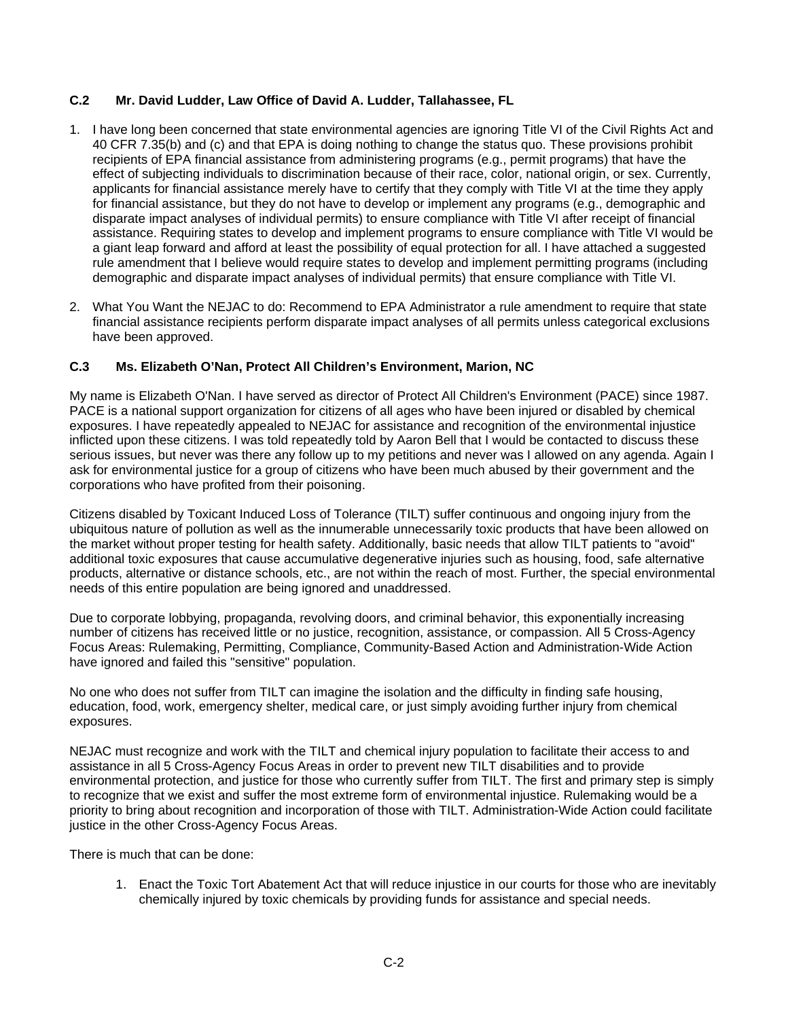## **C.2 Mr. David Ludder, Law Office of David A. Ludder, Tallahassee, FL**

- 1. I have long been concerned that state environmental agencies are ignoring Title VI of the Civil Rights Act and 40 CFR 7.35(b) and (c) and that EPA is doing nothing to change the status quo. These provisions prohibit recipients of EPA financial assistance from administering programs (e.g., permit programs) that have the effect of subjecting individuals to discrimination because of their race, color, national origin, or sex. Currently, applicants for financial assistance merely have to certify that they comply with Title VI at the time they apply for financial assistance, but they do not have to develop or implement any programs (e.g., demographic and disparate impact analyses of individual permits) to ensure compliance with Title VI after receipt of financial assistance. Requiring states to develop and implement programs to ensure compliance with Title VI would be a giant leap forward and afford at least the possibility of equal protection for all. I have attached a suggested rule amendment that I believe would require states to develop and implement permitting programs (including demographic and disparate impact analyses of individual permits) that ensure compliance with Title VI.
- 2. What You Want the NEJAC to do: Recommend to EPA Administrator a rule amendment to require that state financial assistance recipients perform disparate impact analyses of all permits unless categorical exclusions have been approved.

## **C.3 Ms. Elizabeth O'Nan, Protect All Children's Environment, Marion, NC**

My name is Elizabeth O'Nan. I have served as director of Protect All Children's Environment (PACE) since 1987. PACE is a national support organization for citizens of all ages who have been injured or disabled by chemical exposures. I have repeatedly appealed to NEJAC for assistance and recognition of the environmental injustice inflicted upon these citizens. I was told repeatedly told by Aaron Bell that I would be contacted to discuss these serious issues, but never was there any follow up to my petitions and never was I allowed on any agenda. Again I ask for environmental justice for a group of citizens who have been much abused by their government and the corporations who have profited from their poisoning.

Citizens disabled by Toxicant Induced Loss of Tolerance (TILT) suffer continuous and ongoing injury from the ubiquitous nature of pollution as well as the innumerable unnecessarily toxic products that have been allowed on the market without proper testing for health safety. Additionally, basic needs that allow TILT patients to "avoid" additional toxic exposures that cause accumulative degenerative injuries such as housing, food, safe alternative products, alternative or distance schools, etc., are not within the reach of most. Further, the special environmental needs of this entire population are being ignored and unaddressed.

Due to corporate lobbying, propaganda, revolving doors, and criminal behavior, this exponentially increasing number of citizens has received little or no justice, recognition, assistance, or compassion. All 5 Cross-Agency Focus Areas: Rulemaking, Permitting, Compliance, Community-Based Action and Administration-Wide Action have ignored and failed this "sensitive" population.

No one who does not suffer from TILT can imagine the isolation and the difficulty in finding safe housing, education, food, work, emergency shelter, medical care, or just simply avoiding further injury from chemical exposures.

NEJAC must recognize and work with the TILT and chemical injury population to facilitate their access to and assistance in all 5 Cross-Agency Focus Areas in order to prevent new TILT disabilities and to provide environmental protection, and justice for those who currently suffer from TILT. The first and primary step is simply to recognize that we exist and suffer the most extreme form of environmental injustice. Rulemaking would be a priority to bring about recognition and incorporation of those with TILT. Administration-Wide Action could facilitate justice in the other Cross-Agency Focus Areas.

There is much that can be done:

1. Enact the Toxic Tort Abatement Act that will reduce injustice in our courts for those who are inevitably chemically injured by toxic chemicals by providing funds for assistance and special needs.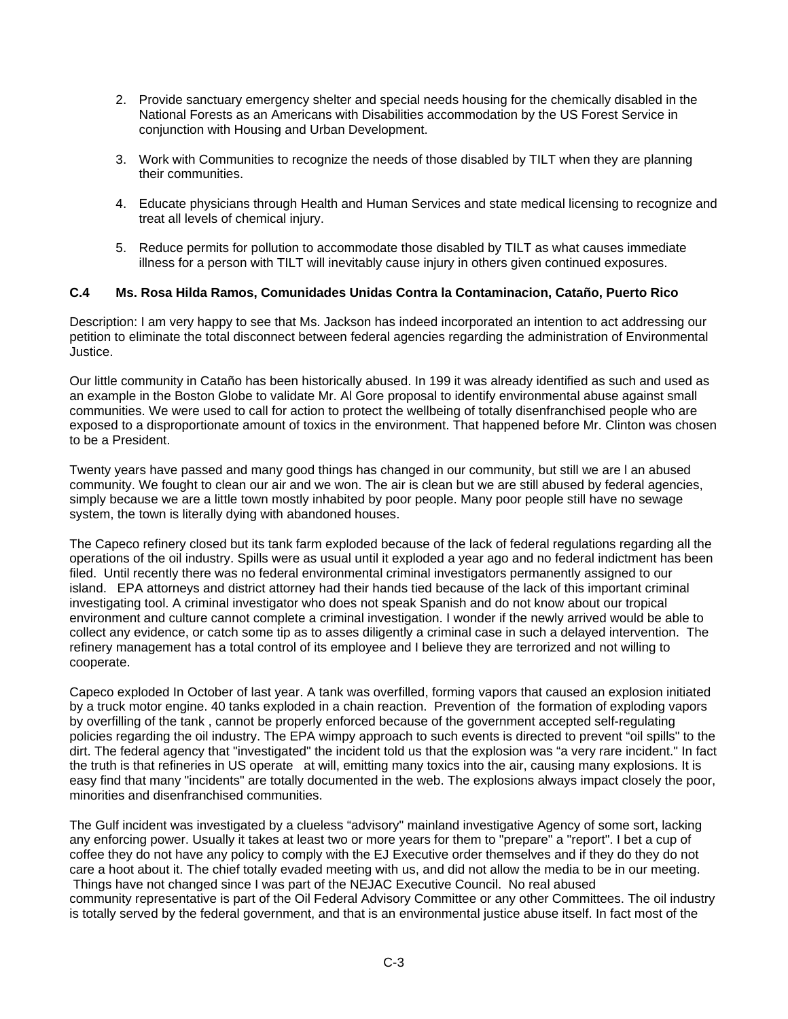- 2. Provide sanctuary emergency shelter and special needs housing for the chemically disabled in the National Forests as an Americans with Disabilities accommodation by the US Forest Service in conjunction with Housing and Urban Development.
- 3. Work with Communities to recognize the needs of those disabled by TILT when they are planning their communities.
- 4. Educate physicians through Health and Human Services and state medical licensing to recognize and treat all levels of chemical injury.
- 5. Reduce permits for pollution to accommodate those disabled by TILT as what causes immediate illness for a person with TILT will inevitably cause injury in others given continued exposures.

## **C.4 Ms. Rosa Hilda Ramos, Comunidades Unidas Contra la Contaminacion, Cataño, Puerto Rico**

Description: I am very happy to see that Ms. Jackson has indeed incorporated an intention to act addressing our petition to eliminate the total disconnect between federal agencies regarding the administration of Environmental Justice.

Our little community in Cataño has been historically abused. In 199 it was already identified as such and used as an example in the Boston Globe to validate Mr. Al Gore proposal to identify environmental abuse against small communities. We were used to call for action to protect the wellbeing of totally disenfranchised people who are exposed to a disproportionate amount of toxics in the environment. That happened before Mr. Clinton was chosen to be a President.

Twenty years have passed and many good things has changed in our community, but still we are l an abused community. We fought to clean our air and we won. The air is clean but we are still abused by federal agencies, simply because we are a little town mostly inhabited by poor people. Many poor people still have no sewage system, the town is literally dying with abandoned houses.

The Capeco refinery closed but its tank farm exploded because of the lack of federal regulations regarding all the operations of the oil industry. Spills were as usual until it exploded a year ago and no federal indictment has been filed. Until recently there was no federal environmental criminal investigators permanently assigned to our island. EPA attorneys and district attorney had their hands tied because of the lack of this important criminal investigating tool. A criminal investigator who does not speak Spanish and do not know about our tropical environment and culture cannot complete a criminal investigation. I wonder if the newly arrived would be able to collect any evidence, or catch some tip as to asses diligently a criminal case in such a delayed intervention. The refinery management has a total control of its employee and I believe they are terrorized and not willing to cooperate.

Capeco exploded In October of last year. A tank was overfilled, forming vapors that caused an explosion initiated by a truck motor engine. 40 tanks exploded in a chain reaction. Prevention of the formation of exploding vapors by overfilling of the tank , cannot be properly enforced because of the government accepted self-regulating policies regarding the oil industry. The EPA wimpy approach to such events is directed to prevent "oil spills" to the dirt. The federal agency that "investigated" the incident told us that the explosion was "a very rare incident." In fact the truth is that refineries in US operate at will, emitting many toxics into the air, causing many explosions. It is easy find that many "incidents" are totally documented in the web. The explosions always impact closely the poor, minorities and disenfranchised communities.

The Gulf incident was investigated by a clueless "advisory" mainland investigative Agency of some sort, lacking any enforcing power. Usually it takes at least two or more years for them to "prepare" a "report". I bet a cup of coffee they do not have any policy to comply with the EJ Executive order themselves and if they do they do not care a hoot about it. The chief totally evaded meeting with us, and did not allow the media to be in our meeting. Things have not changed since I was part of the NEJAC Executive Council. No real abused community representative is part of the Oil Federal Advisory Committee or any other Committees. The oil industry is totally served by the federal government, and that is an environmental justice abuse itself. In fact most of the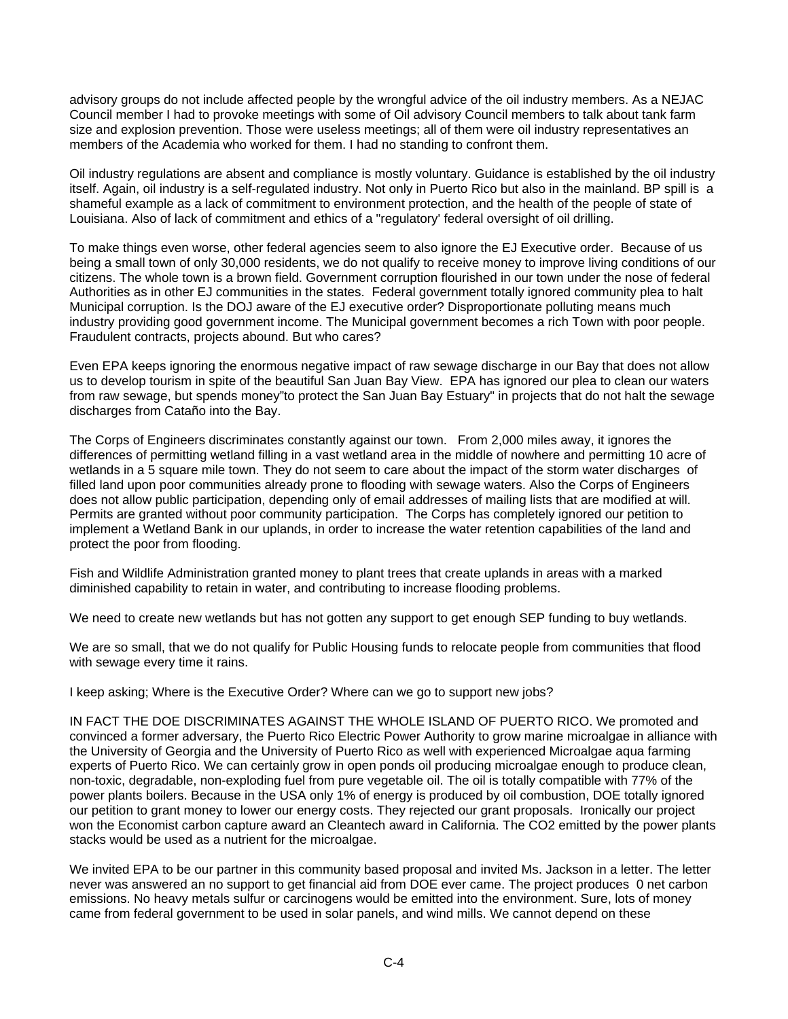advisory groups do not include affected people by the wrongful advice of the oil industry members. As a NEJAC Council member I had to provoke meetings with some of Oil advisory Council members to talk about tank farm size and explosion prevention. Those were useless meetings; all of them were oil industry representatives an members of the Academia who worked for them. I had no standing to confront them.

Oil industry regulations are absent and compliance is mostly voluntary. Guidance is established by the oil industry itself. Again, oil industry is a self-regulated industry. Not only in Puerto Rico but also in the mainland. BP spill is a shameful example as a lack of commitment to environment protection, and the health of the people of state of Louisiana. Also of lack of commitment and ethics of a "regulatory' federal oversight of oil drilling.

To make things even worse, other federal agencies seem to also ignore the EJ Executive order. Because of us being a small town of only 30,000 residents, we do not qualify to receive money to improve living conditions of our citizens. The whole town is a brown field. Government corruption flourished in our town under the nose of federal Authorities as in other EJ communities in the states. Federal government totally ignored community plea to halt Municipal corruption. Is the DOJ aware of the EJ executive order? Disproportionate polluting means much industry providing good government income. The Municipal government becomes a rich Town with poor people. Fraudulent contracts, projects abound. But who cares?

Even EPA keeps ignoring the enormous negative impact of raw sewage discharge in our Bay that does not allow us to develop tourism in spite of the beautiful San Juan Bay View. EPA has ignored our plea to clean our waters from raw sewage, but spends money"to protect the San Juan Bay Estuary" in projects that do not halt the sewage discharges from Cataño into the Bay.

The Corps of Engineers discriminates constantly against our town. From 2,000 miles away, it ignores the differences of permitting wetland filling in a vast wetland area in the middle of nowhere and permitting 10 acre of wetlands in a 5 square mile town. They do not seem to care about the impact of the storm water discharges of filled land upon poor communities already prone to flooding with sewage waters. Also the Corps of Engineers does not allow public participation, depending only of email addresses of mailing lists that are modified at will. Permits are granted without poor community participation. The Corps has completely ignored our petition to implement a Wetland Bank in our uplands, in order to increase the water retention capabilities of the land and protect the poor from flooding.

Fish and Wildlife Administration granted money to plant trees that create uplands in areas with a marked diminished capability to retain in water, and contributing to increase flooding problems.

We need to create new wetlands but has not gotten any support to get enough SEP funding to buy wetlands.

We are so small, that we do not qualify for Public Housing funds to relocate people from communities that flood with sewage every time it rains.

I keep asking; Where is the Executive Order? Where can we go to support new jobs?

stacks would be used as a nutrient for the microalgae. IN FACT THE DOE DISCRIMINATES AGAINST THE WHOLE ISLAND OF PUERTO RICO. We promoted and convinced a former adversary, the Puerto Rico Electric Power Authority to grow marine microalgae in alliance with the University of Georgia and the University of Puerto Rico as well with experienced Microalgae aqua farming experts of Puerto Rico. We can certainly grow in open ponds oil producing microalgae enough to produce clean, non-toxic, degradable, non-exploding fuel from pure vegetable oil. The oil is totally compatible with 77% of the power plants boilers. Because in the USA only 1% of energy is produced by oil combustion, DOE totally ignored our petition to grant money to lower our energy costs. They rejected our grant proposals. Ironically our project won the Economist carbon capture award an Cleantech award in California. The CO2 emitted by the power plants

We invited EPA to be our partner in this community based proposal and invited Ms. Jackson in a letter. The letter never was answered an no support to get financial aid from DOE ever came. The project produces 0 net carbon emissions. No heavy metals sulfur or carcinogens would be emitted into the environment. Sure, lots of money came from federal government to be used in solar panels, and wind mills. We cannot depend on these